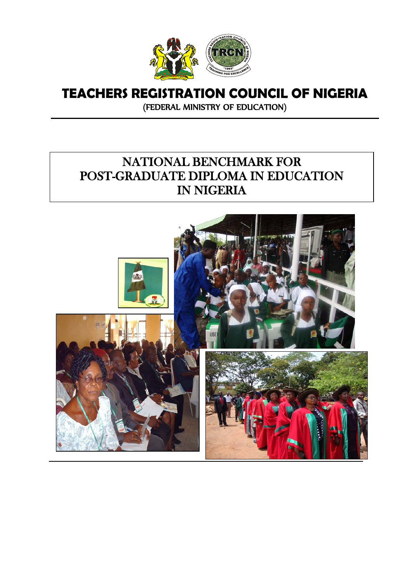

# **TEACHERS REGISTRATION COUNCIL OF NIGERIA**

(FEDERAL MINISTRY OF EDUCATION)

# NATIONAL BENCHMARK FOR POST-GRADUATE DIPLOMA IN EDUCATION IN NIGERIA

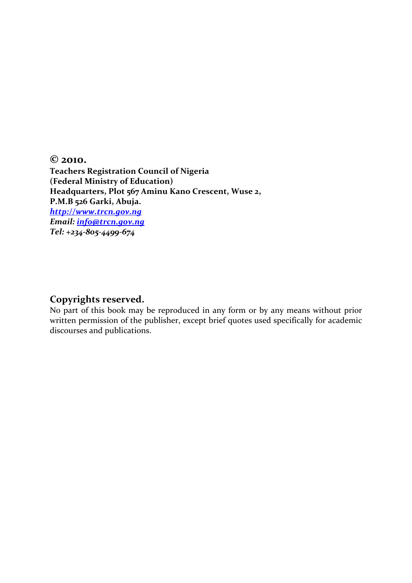**© 2010. Teachers Registration Council of Nigeria (Federal Ministry of Education) Headquarters, Plot 567 Aminu Kano Crescent, Wuse 2, P.M.B 526 Garki, Abuja.** *[http://www.trcn.gov.ng](http://www.trcn.gov.ng/) Email: [info@trcn.gov.ng](mailto:info@trcn.gov.ng) Tel: +234-805-4499-674*

#### **Copyrights reserved.**

No part of this book may be reproduced in any form or by any means without prior written permission of the publisher, except brief quotes used specifically for academic discourses and publications.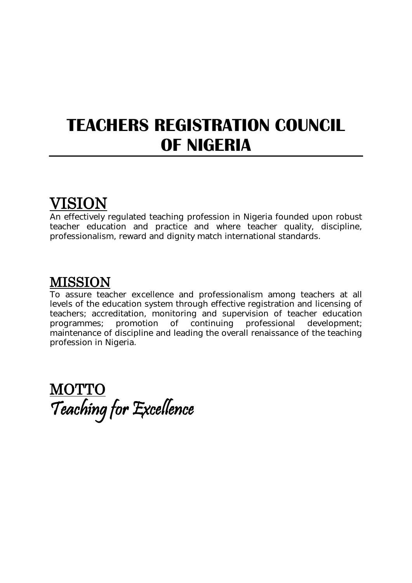# **TEACHERS REGISTRATION COUNCIL OF NIGERIA**

# VISION

An effectively regulated teaching profession in Nigeria founded upon robust teacher education and practice and where teacher quality, discipline, professionalism, reward and dignity match international standards.

# MISSION

To assure teacher excellence and professionalism among teachers at all levels of the education system through effective registration and licensing of teachers; accreditation, monitoring and supervision of teacher education<br>programmes: promotion of continuing professional development: of continuing professional maintenance of discipline and leading the overall renaissance of the teaching profession in Nigeria.

**MOTTO** Teaching for Excellence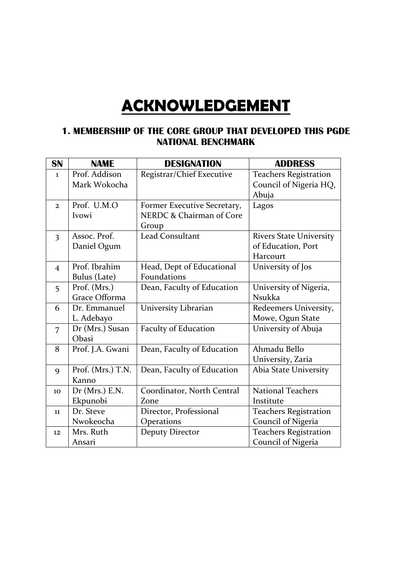# **ACKNOWLEDGEMENT**

#### **1. MEMBERSHIP OF THE CORE GROUP THAT DEVELOPED THIS PGDE NATIONAL BENCHMARK**

| SN             | <b>NAME</b>       | <b>DESIGNATION</b>          | <b>ADDRESS</b>                 |
|----------------|-------------------|-----------------------------|--------------------------------|
| $\mathbf{I}$   | Prof. Addison     | Registrar/Chief Executive   | <b>Teachers Registration</b>   |
|                | Mark Wokocha      |                             | Council of Nigeria HQ,         |
|                |                   |                             | Abuja                          |
| $\overline{2}$ | Prof. U.M.O       | Former Executive Secretary, | Lagos                          |
|                | Ivowi             | NERDC & Chairman of Core    |                                |
|                |                   | Group                       |                                |
| $\overline{3}$ | Assoc. Prof.      | <b>Lead Consultant</b>      | <b>Rivers State University</b> |
|                | Daniel Ogum       |                             | of Education, Port             |
|                |                   |                             | Harcourt                       |
| $\overline{4}$ | Prof. Ibrahim     | Head, Dept of Educational   | University of Jos              |
|                | Bulus (Late)      | Foundations                 |                                |
| 5              | Prof. (Mrs.)      | Dean, Faculty of Education  | University of Nigeria,         |
|                | Grace Offorma     |                             | <b>Nsukka</b>                  |
| 6              | Dr. Emmanuel      | University Librarian        | Redeemers University,          |
|                | L. Adebayo        |                             | Mowe, Ogun State               |
| 7              | Dr (Mrs.) Susan   | <b>Faculty of Education</b> | University of Abuja            |
|                | Obasi             |                             |                                |
| 8              | Prof. J.A. Gwani  | Dean, Faculty of Education  | Ahmadu Bello                   |
|                |                   |                             | University, Zaria              |
| $\mathbf Q$    | Prof. (Mrs.) T.N. | Dean, Faculty of Education  | Abia State University          |
|                | Kanno             |                             |                                |
| 10             | Dr (Mrs.) E.N.    | Coordinator, North Central  | <b>National Teachers</b>       |
|                | Ekpunobi          | Zone                        | Institute                      |
| 11             | Dr. Steve         | Director, Professional      | <b>Teachers Registration</b>   |
|                | Nwokeocha         | Operations                  | Council of Nigeria             |
| 12             | Mrs. Ruth         | <b>Deputy Director</b>      | <b>Teachers Registration</b>   |
|                | Ansari            |                             | Council of Nigeria             |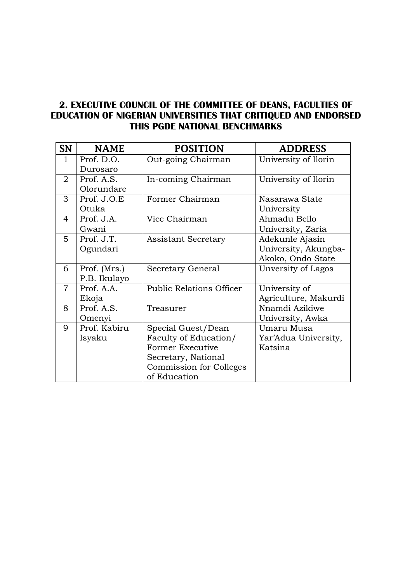## **2. EXECUTIVE COUNCIL OF THE COMMITTEE OF DEANS, FACULTIES OF EDUCATION OF NIGERIAN UNIVERSITIES THAT CRITIQUED AND ENDORSED THIS PGDE NATIONAL BENCHMARKS**

| SN             | <b>NAME</b>  | <b>POSITION</b>                 | <b>ADDRESS</b>       |
|----------------|--------------|---------------------------------|----------------------|
| $\mathbf{1}$   | Prof. D.O.   | Out-going Chairman              | University of Ilorin |
|                | Durosaro     |                                 |                      |
| 2              | Prof. A.S.   | In-coming Chairman              | University of Ilorin |
|                | Olorundare   |                                 |                      |
| 3              | Prof. J.O.E  | Former Chairman                 | Nasarawa State       |
|                | Otuka        |                                 | University           |
| 4              | Prof. J.A.   | Vice Chairman                   | Ahmadu Bello         |
|                | Gwani        |                                 | University, Zaria    |
| 5              | Prof. J.T.   | <b>Assistant Secretary</b>      | Adekunle Ajasin      |
|                | Ogundari     |                                 | University, Akungba- |
|                |              |                                 | Akoko, Ondo State    |
| 6              | Prof. (Mrs.) | Secretary General               | Unversity of Lagos   |
|                | P.B. Ikulayo |                                 |                      |
| $\overline{7}$ | Prof. A.A.   | <b>Public Relations Officer</b> | University of        |
|                | Ekoja        |                                 | Agriculture, Makurdi |
| 8              | Prof. A.S.   | Treasurer                       | Nnamdi Azikiwe       |
|                | Omenyi       |                                 | University, Awka     |
| 9              | Prof. Kabiru | Special Guest/Dean              | Umaru Musa           |
|                | Isyaku       | Faculty of Education/           | Yar'Adua University, |
|                |              | Former Executive                | Katsina              |
|                |              | Secretary, National             |                      |
|                |              | <b>Commission for Colleges</b>  |                      |
|                |              | of Education                    |                      |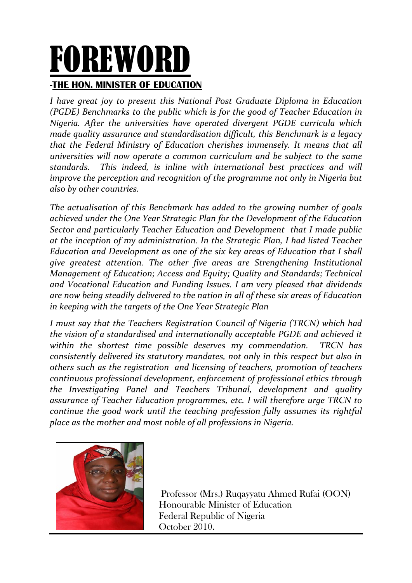# FOREWORD **-THE HON. MINISTER OF EDUCATION**

*I have great joy to present this National Post Graduate Diploma in Education (PGDE) Benchmarks to the public which is for the good of Teacher Education in Nigeria. After the universities have operated divergent PGDE curricula which made quality assurance and standardisation difficult, this Benchmark is a legacy that the Federal Ministry of Education cherishes immensely. It means that all universities will now operate a common curriculum and be subject to the same standards. This indeed, is inline with international best practices and will improve the perception and recognition of the programme not only in Nigeria but also by other countries.*

*The actualisation of this Benchmark has added to the growing number of goals achieved under the One Year Strategic Plan for the Development of the Education Sector and particularly Teacher Education and Development that I made public at the inception of my administration. In the Strategic Plan, I had listed Teacher Education and Development as one of the six key areas of Education that I shall give greatest attention. The other five areas are Strengthening Institutional Management of Education; Access and Equity; Quality and Standards; Technical and Vocational Education and Funding Issues. I am very pleased that dividends are now being steadily delivered to the nation in all of these six areas of Education in keeping with the targets of the One Year Strategic Plan*

*I must say that the Teachers Registration Council of Nigeria (TRCN) which had the vision of a standardised and internationally acceptable PGDE and achieved it within the shortest time possible deserves my commendation. TRCN has consistently delivered its statutory mandates, not only in this respect but also in others such as the registration and licensing of teachers, promotion of teachers continuous professional development, enforcement of professional ethics through the Investigating Panel and Teachers Tribunal, development and quality assurance of Teacher Education programmes, etc. I will therefore urge TRCN to continue the good work until the teaching profession fully assumes its rightful place as the mother and most noble of all professions in Nigeria.* 



Professor (Mrs.) Ruqayyatu Ahmed Rufai (OON) Honourable Minister of Education Federal Republic of Nigeria October 2010.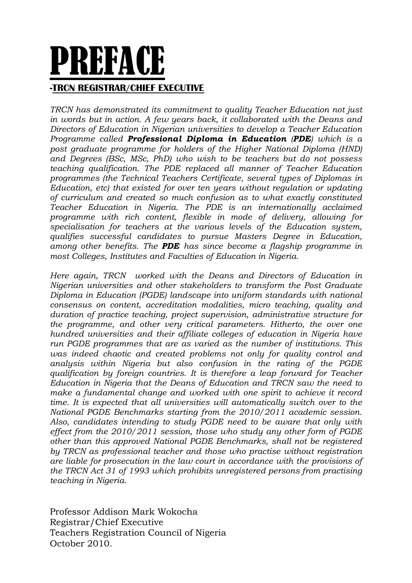# PREFACE **-TRCN REGISTRAR/CHIEF EXECUTIVE**

*TRCN has demonstrated its commitment to quality Teacher Education not just in words but in action. A few years back, it collaborated with the Deans and Directors of Education in Nigerian universities to develop a Teacher Education Programme called Professional Diploma in Education (PDE) which is a post graduate programme for holders of the Higher National Diploma (HND) and Degrees (BSc, MSc, PhD) who wish to be teachers but do not possess teaching qualification. The PDE replaced all manner of Teacher Education programmes (the Technical Teachers Certificate, several types of Diplomas in Education, etc) that existed for over ten years without regulation or updating of curriculum and created so much confusion as to what exactly constituted Teacher Education in Nigeria. The PDE is an internationally acclaimed programme with rich content, flexible in mode of delivery, allowing for specialisation for teachers at the various levels of the Education system, qualifies successful candidates to pursue Masters Degree in Education, among other benefits. The PDE has since become a flagship programme in most Colleges, Institutes and Faculties of Education in Nigeria.*

*Here again, TRCN worked with the Deans and Directors of Education in Nigerian universities and other stakeholders to transform the Post Graduate Diploma in Education (PGDE) landscape into uniform standards with national consensus on content, accreditation modalities, micro teaching, quality and duration of practice teaching, project supervision, administrative structure for the programme, and other very critical parameters. Hitherto, the over one hundred universities and their affiliate colleges of education in Nigeria have run PGDE programmes that are as varied as the number of institutions. This*  was indeed chaotic and created problems not only for quality control and *analysis within Nigeria but also confusion in the rating of the PGDE qualification by foreign countries. It is therefore a leap forward for Teacher Education in Nigeria that the Deans of Education and TRCN saw the need to make a fundamental change and worked with one spirit to achieve it record time. It is expected that all universities will automatically switch over to the National PGDE Benchmarks starting from the 2010/2011 academic session. Also, candidates intending to study PGDE need to be aware that only with effect from the 2010/2011 session, those who study any other form of PGDE other than this approved National PGDE Benchmarks, shall not be registered by TRCN as professional teacher and those who practise without registration are liable for prosecution in the law court in accordance with the provisions of the TRCN Act 31 of 1993 which prohibits unregistered persons from practising teaching in Nigeria.*

Professor Addison Mark Wokocha Registrar/Chief Executive Teachers Registration Council of Nigeria October 2010.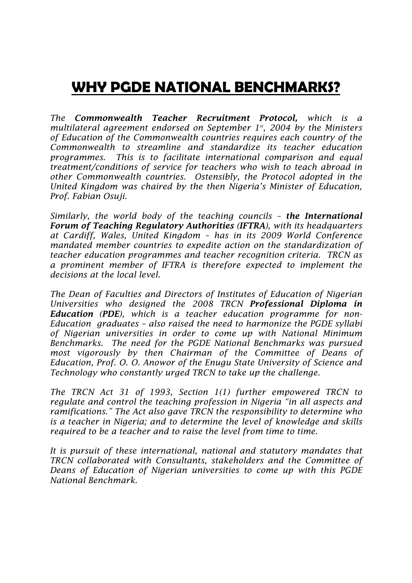# **WHY PGDE NATIONAL BENCHMARKS?**

*The Commonwealth Teacher Recruitment Protocol, which is a multilateral agreement endorsed on September 1st, 2004 by the Ministers of Education of the Commonwealth countries requires each country of the Commonwealth to streamline and standardize its teacher education programmes. This is to facilitate international comparison and equal treatment/conditions of service for teachers who wish to teach abroad in other Commonwealth countries. Ostensibly, the Protocol adopted in the United Kingdom was chaired by the then Nigeria's Minister of Education, Prof. Fabian Osuji.*

*Similarly, the world body of the teaching councils – the International Forum of Teaching Regulatory Authorities (IFTRA), with its headquarters at Cardiff, Wales, United Kingdom – has in its 2009 World Conference mandated member countries to expedite action on the standardization of teacher education programmes and teacher recognition criteria. TRCN as a prominent member of IFTRA is therefore expected to implement the decisions at the local level.*

*The Dean of Faculties and Directors of Institutes of Education of Nigerian Universities who designed the 2008 TRCN Professional Diploma in Education (PDE), which is a teacher education programme for non-Education graduates – also raised the need to harmonize the PGDE syllabi of Nigerian universities in order to come up with National Minimum Benchmarks. The need for the PGDE National Benchmarks was pursued most vigorously by then Chairman of the Committee of Deans of Education, Prof. O. O. Anowor of the Enugu State University of Science and Technology who constantly urged TRCN to take up the challenge.*

*The TRCN Act 31 of 1993, Section 1(1) further empowered TRCN to regulate and control the teaching profession in Nigeria "in all aspects and ramifications." The Act also gave TRCN the responsibility to determine who is a teacher in Nigeria; and to determine the level of knowledge and skills required to be a teacher and to raise the level from time to time.* 

*It is pursuit of these international, national and statutory mandates that TRCN collaborated with Consultants, stakeholders and the Committee of Deans of Education of Nigerian universities to come up with this PGDE National Benchmark.*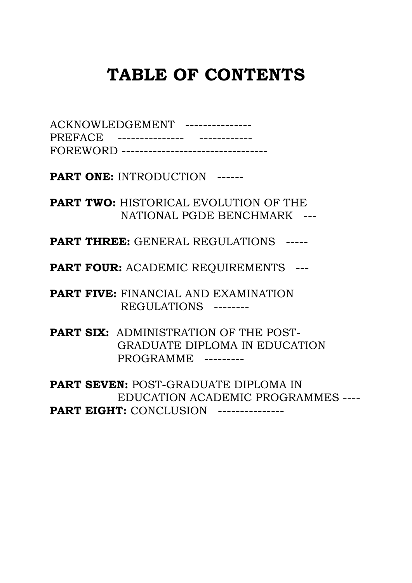# **TABLE OF CONTENTS**

| ACKNOWLEDGEMENT --------------- |                                           |
|---------------------------------|-------------------------------------------|
| PREFACE ----------------        |                                           |
|                                 | FOREWORD -------------------------------- |

**PART ONE:** INTRODUCTION ------

**PART TWO:** HISTORICAL EVOLUTION OF THE NATIONAL PGDE BENCHMARK ---

**PART THREE:** GENERAL REGULATIONS -----

**PART FOUR:** ACADEMIC REQUIREMENTS ---

**PART FIVE:** FINANCIAL AND EXAMINATION REGULATIONS --------

**PART SIX:** ADMINISTRATION OF THE POST- GRADUATE DIPLOMA IN EDUCATION PROGRAMME ---------

**PART SEVEN:** POST-GRADUATE DIPLOMA IN EDUCATION ACADEMIC PROGRAMMES ---- **PART EIGHT: CONCLUSION ---------------**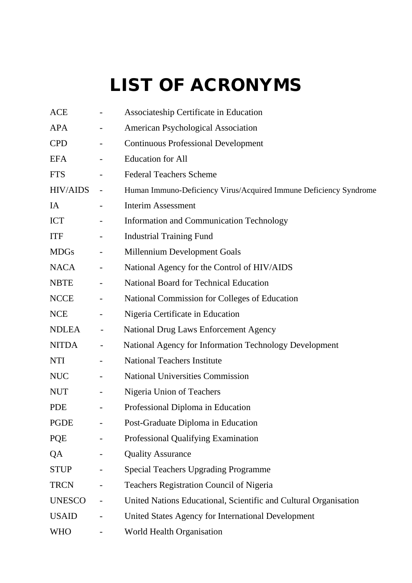# LIST OF ACRONYMS

| <b>ACE</b>      |                              | Associateship Certificate in Education                            |
|-----------------|------------------------------|-------------------------------------------------------------------|
| <b>APA</b>      |                              | <b>American Psychological Association</b>                         |
| <b>CPD</b>      | $\qquad \qquad \blacksquare$ | <b>Continuous Professional Development</b>                        |
| <b>EFA</b>      | -                            | <b>Education</b> for All                                          |
| <b>FTS</b>      |                              | <b>Federal Teachers Scheme</b>                                    |
| <b>HIV/AIDS</b> | $\overline{\phantom{a}}$     | Human Immuno-Deficiency Virus/Acquired Immune Deficiency Syndrome |
| IA              | $\overline{\phantom{0}}$     | <b>Interim Assessment</b>                                         |
| <b>ICT</b>      | -                            | Information and Communication Technology                          |
| <b>ITF</b>      |                              | <b>Industrial Training Fund</b>                                   |
| <b>MDGs</b>     | $\qquad \qquad \blacksquare$ | Millennium Development Goals                                      |
| <b>NACA</b>     | $\overline{\phantom{a}}$     | National Agency for the Control of HIV/AIDS                       |
| <b>NBTE</b>     | $\qquad \qquad \blacksquare$ | National Board for Technical Education                            |
| <b>NCCE</b>     | $\qquad \qquad -$            | National Commission for Colleges of Education                     |
| <b>NCE</b>      | -                            | Nigeria Certificate in Education                                  |
| <b>NDLEA</b>    | -                            | <b>National Drug Laws Enforcement Agency</b>                      |
| <b>NITDA</b>    | $\qquad \qquad \blacksquare$ | National Agency for Information Technology Development            |
| <b>NTI</b>      |                              | <b>National Teachers Institute</b>                                |
| <b>NUC</b>      | $\overline{\phantom{a}}$     | <b>National Universities Commission</b>                           |
| <b>NUT</b>      | -                            | Nigeria Union of Teachers                                         |
| <b>PDE</b>      |                              | Professional Diploma in Education                                 |
| <b>PGDE</b>     |                              | Post-Graduate Diploma in Education                                |
| PQE             |                              | Professional Qualifying Examination                               |
| QA              |                              | <b>Quality Assurance</b>                                          |
| <b>STUP</b>     |                              | <b>Special Teachers Upgrading Programme</b>                       |
| <b>TRCN</b>     |                              | Teachers Registration Council of Nigeria                          |
| <b>UNESCO</b>   | $\overline{\phantom{0}}$     | United Nations Educational, Scientific and Cultural Organisation  |
| <b>USAID</b>    |                              | United States Agency for International Development                |
| <b>WHO</b>      |                              | World Health Organisation                                         |
|                 |                              |                                                                   |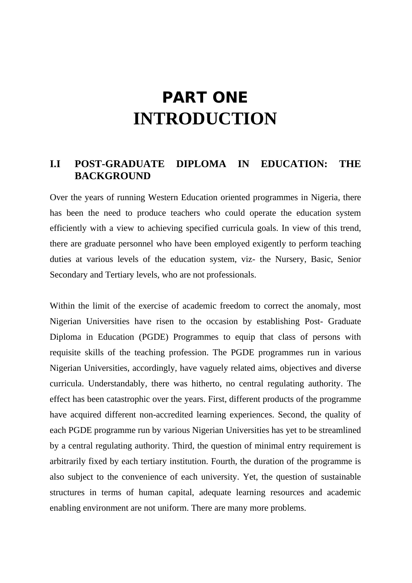# PART ONE **INTRODUCTION**

## **I.I POST-GRADUATE DIPLOMA IN EDUCATION: THE BACKGROUND**

Over the years of running Western Education oriented programmes in Nigeria, there has been the need to produce teachers who could operate the education system efficiently with a view to achieving specified curricula goals. In view of this trend, there are graduate personnel who have been employed exigently to perform teaching duties at various levels of the education system, viz- the Nursery, Basic, Senior Secondary and Tertiary levels, who are not professionals.

Within the limit of the exercise of academic freedom to correct the anomaly, most Nigerian Universities have risen to the occasion by establishing Post- Graduate Diploma in Education (PGDE) Programmes to equip that class of persons with requisite skills of the teaching profession. The PGDE programmes run in various Nigerian Universities, accordingly, have vaguely related aims, objectives and diverse curricula. Understandably, there was hitherto, no central regulating authority. The effect has been catastrophic over the years. First, different products of the programme have acquired different non-accredited learning experiences. Second, the quality of each PGDE programme run by various Nigerian Universities has yet to be streamlined by a central regulating authority. Third, the question of minimal entry requirement is arbitrarily fixed by each tertiary institution. Fourth, the duration of the programme is also subject to the convenience of each university. Yet, the question of sustainable structures in terms of human capital, adequate learning resources and academic enabling environment are not uniform. There are many more problems.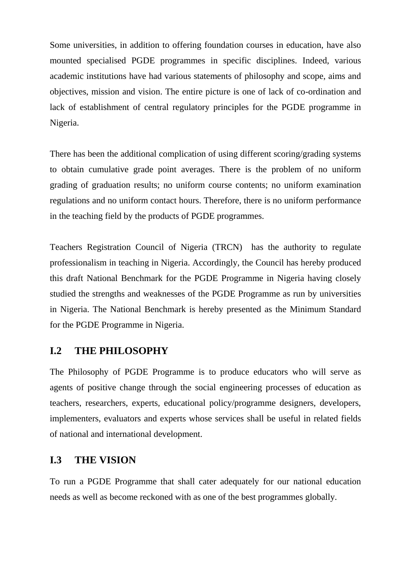Some universities, in addition to offering foundation courses in education, have also mounted specialised PGDE programmes in specific disciplines. Indeed, various academic institutions have had various statements of philosophy and scope, aims and objectives, mission and vision. The entire picture is one of lack of co-ordination and lack of establishment of central regulatory principles for the PGDE programme in Nigeria.

There has been the additional complication of using different scoring/grading systems to obtain cumulative grade point averages. There is the problem of no uniform grading of graduation results; no uniform course contents; no uniform examination regulations and no uniform contact hours. Therefore, there is no uniform performance in the teaching field by the products of PGDE programmes.

Teachers Registration Council of Nigeria (TRCN) has the authority to regulate professionalism in teaching in Nigeria. Accordingly, the Council has hereby produced this draft National Benchmark for the PGDE Programme in Nigeria having closely studied the strengths and weaknesses of the PGDE Programme as run by universities in Nigeria. The National Benchmark is hereby presented as the Minimum Standard for the PGDE Programme in Nigeria.

### **I.2 THE PHILOSOPHY**

The Philosophy of PGDE Programme is to produce educators who will serve as agents of positive change through the social engineering processes of education as teachers, researchers, experts, educational policy/programme designers, developers, implementers, evaluators and experts whose services shall be useful in related fields of national and international development.

#### **I.3 THE VISION**

To run a PGDE Programme that shall cater adequately for our national education needs as well as become reckoned with as one of the best programmes globally.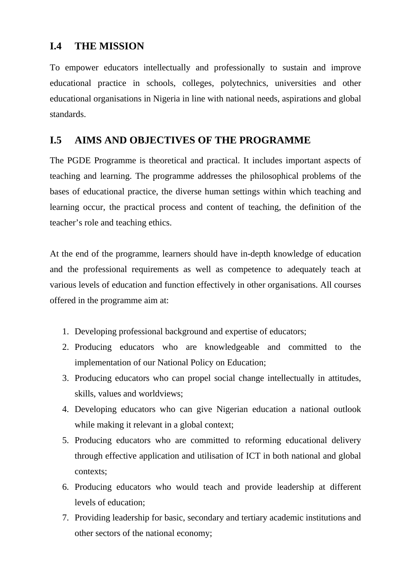# **I.4 THE MISSION**

To empower educators intellectually and professionally to sustain and improve educational practice in schools, colleges, polytechnics, universities and other educational organisations in Nigeria in line with national needs, aspirations and global standards.

# **I.5 AIMS AND OBJECTIVES OF THE PROGRAMME**

The PGDE Programme is theoretical and practical. It includes important aspects of teaching and learning. The programme addresses the philosophical problems of the bases of educational practice, the diverse human settings within which teaching and learning occur, the practical process and content of teaching, the definition of the teacher's role and teaching ethics.

At the end of the programme, learners should have in-depth knowledge of education and the professional requirements as well as competence to adequately teach at various levels of education and function effectively in other organisations. All courses offered in the programme aim at:

- 1. Developing professional background and expertise of educators;
- 2. Producing educators who are knowledgeable and committed to the implementation of our National Policy on Education;
- 3. Producing educators who can propel social change intellectually in attitudes, skills, values and worldviews;
- 4. Developing educators who can give Nigerian education a national outlook while making it relevant in a global context;
- 5. Producing educators who are committed to reforming educational delivery through effective application and utilisation of ICT in both national and global contexts;
- 6. Producing educators who would teach and provide leadership at different levels of education;
- 7. Providing leadership for basic, secondary and tertiary academic institutions and other sectors of the national economy;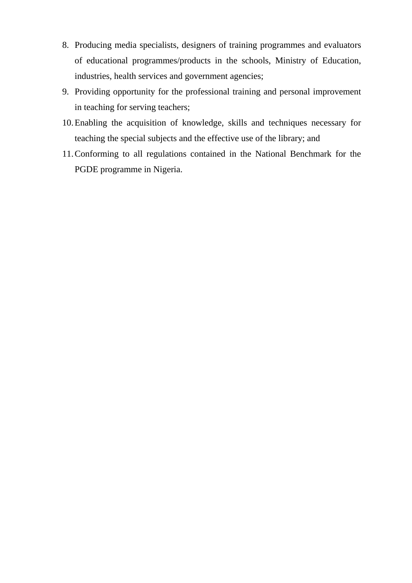- 8. Producing media specialists, designers of training programmes and evaluators of educational programmes/products in the schools, Ministry of Education, industries, health services and government agencies;
- 9. Providing opportunity for the professional training and personal improvement in teaching for serving teachers;
- 10.Enabling the acquisition of knowledge, skills and techniques necessary for teaching the special subjects and the effective use of the library; and
- 11.Conforming to all regulations contained in the National Benchmark for the PGDE programme in Nigeria.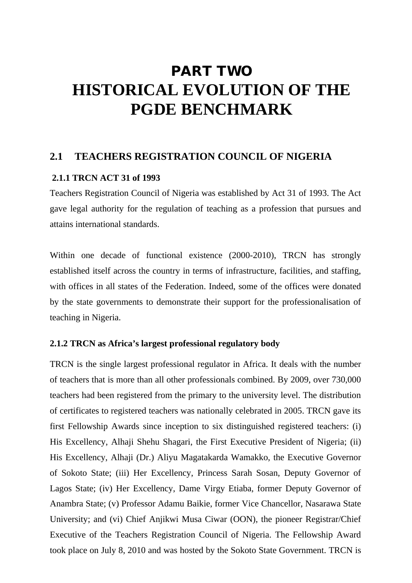# PART TWO **HISTORICAL EVOLUTION OF THE PGDE BENCHMARK**

### **2.1 TEACHERS REGISTRATION COUNCIL OF NIGERIA**

#### **2.1.1 TRCN ACT 31 of 1993**

Teachers Registration Council of Nigeria was established by Act 31 of 1993. The Act gave legal authority for the regulation of teaching as a profession that pursues and attains international standards.

Within one decade of functional existence (2000-2010), TRCN has strongly established itself across the country in terms of infrastructure, facilities, and staffing, with offices in all states of the Federation. Indeed, some of the offices were donated by the state governments to demonstrate their support for the professionalisation of teaching in Nigeria.

#### **2.1.2 TRCN as Africa's largest professional regulatory body**

TRCN is the single largest professional regulator in Africa. It deals with the number of teachers that is more than all other professionals combined. By 2009, over 730,000 teachers had been registered from the primary to the university level. The distribution of certificates to registered teachers was nationally celebrated in 2005. TRCN gave its first Fellowship Awards since inception to six distinguished registered teachers: (i) His Excellency, Alhaji Shehu Shagari, the First Executive President of Nigeria; (ii) His Excellency, Alhaji (Dr.) Aliyu Magatakarda Wamakko, the Executive Governor of Sokoto State; (iii) Her Excellency, Princess Sarah Sosan, Deputy Governor of Lagos State; (iv) Her Excellency, Dame Virgy Etiaba, former Deputy Governor of Anambra State; (v) Professor Adamu Baikie, former Vice Chancellor, Nasarawa State University; and (vi) Chief Anjikwi Musa Ciwar (OON), the pioneer Registrar/Chief Executive of the Teachers Registration Council of Nigeria. The Fellowship Award took place on July 8, 2010 and was hosted by the Sokoto State Government. TRCN is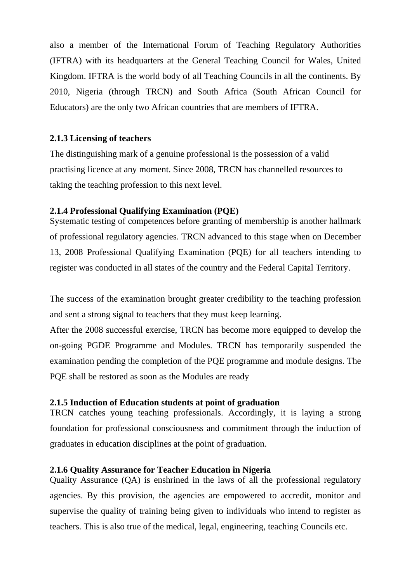also a member of the International Forum of Teaching Regulatory Authorities (IFTRA) with its headquarters at the General Teaching Council for Wales, United Kingdom. IFTRA is the world body of all Teaching Councils in all the continents. By 2010, Nigeria (through TRCN) and South Africa (South African Council for Educators) are the only two African countries that are members of IFTRA.

#### **2.1.3 Licensing of teachers**

The distinguishing mark of a genuine professional is the possession of a valid practising licence at any moment. Since 2008, TRCN has channelled resources to taking the teaching profession to this next level.

#### **2.1.4 Professional Qualifying Examination (PQE)**

Systematic testing of competences before granting of membership is another hallmark of professional regulatory agencies. TRCN advanced to this stage when on December 13, 2008 Professional Qualifying Examination (PQE) for all teachers intending to register was conducted in all states of the country and the Federal Capital Territory.

The success of the examination brought greater credibility to the teaching profession and sent a strong signal to teachers that they must keep learning.

After the 2008 successful exercise, TRCN has become more equipped to develop the on-going PGDE Programme and Modules. TRCN has temporarily suspended the examination pending the completion of the PQE programme and module designs. The PQE shall be restored as soon as the Modules are ready

#### **2.1.5 Induction of Education students at point of graduation**

TRCN catches young teaching professionals. Accordingly, it is laying a strong foundation for professional consciousness and commitment through the induction of graduates in education disciplines at the point of graduation.

#### **2.1.6 Quality Assurance for Teacher Education in Nigeria**

Quality Assurance (QA) is enshrined in the laws of all the professional regulatory agencies. By this provision, the agencies are empowered to accredit, monitor and supervise the quality of training being given to individuals who intend to register as teachers. This is also true of the medical, legal, engineering, teaching Councils etc.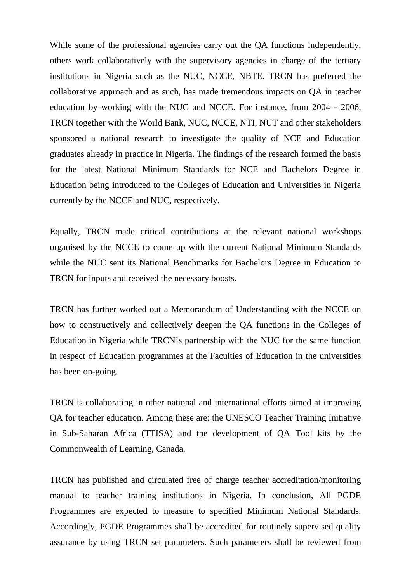While some of the professional agencies carry out the QA functions independently, others work collaboratively with the supervisory agencies in charge of the tertiary institutions in Nigeria such as the NUC, NCCE, NBTE. TRCN has preferred the collaborative approach and as such, has made tremendous impacts on QA in teacher education by working with the NUC and NCCE. For instance, from 2004 - 2006, TRCN together with the World Bank, NUC, NCCE, NTI, NUT and other stakeholders sponsored a national research to investigate the quality of NCE and Education graduates already in practice in Nigeria. The findings of the research formed the basis for the latest National Minimum Standards for NCE and Bachelors Degree in Education being introduced to the Colleges of Education and Universities in Nigeria currently by the NCCE and NUC, respectively.

Equally, TRCN made critical contributions at the relevant national workshops organised by the NCCE to come up with the current National Minimum Standards while the NUC sent its National Benchmarks for Bachelors Degree in Education to TRCN for inputs and received the necessary boosts.

TRCN has further worked out a Memorandum of Understanding with the NCCE on how to constructively and collectively deepen the QA functions in the Colleges of Education in Nigeria while TRCN's partnership with the NUC for the same function in respect of Education programmes at the Faculties of Education in the universities has been on-going.

TRCN is collaborating in other national and international efforts aimed at improving QA for teacher education. Among these are: the UNESCO Teacher Training Initiative in Sub-Saharan Africa (TTISA) and the development of QA Tool kits by the Commonwealth of Learning, Canada.

TRCN has published and circulated free of charge teacher accreditation/monitoring manual to teacher training institutions in Nigeria. In conclusion, All PGDE Programmes are expected to measure to specified Minimum National Standards. Accordingly, PGDE Programmes shall be accredited for routinely supervised quality assurance by using TRCN set parameters. Such parameters shall be reviewed from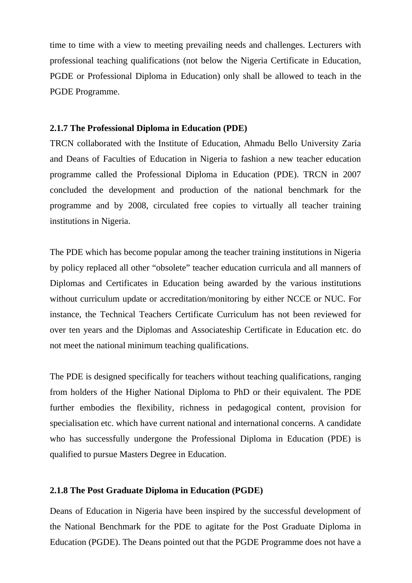time to time with a view to meeting prevailing needs and challenges. Lecturers with professional teaching qualifications (not below the Nigeria Certificate in Education, PGDE or Professional Diploma in Education) only shall be allowed to teach in the PGDE Programme.

#### **2.1.7 The Professional Diploma in Education (PDE)**

TRCN collaborated with the Institute of Education, Ahmadu Bello University Zaria and Deans of Faculties of Education in Nigeria to fashion a new teacher education programme called the Professional Diploma in Education (PDE). TRCN in 2007 concluded the development and production of the national benchmark for the programme and by 2008, circulated free copies to virtually all teacher training institutions in Nigeria.

The PDE which has become popular among the teacher training institutions in Nigeria by policy replaced all other "obsolete" teacher education curricula and all manners of Diplomas and Certificates in Education being awarded by the various institutions without curriculum update or accreditation/monitoring by either NCCE or NUC. For instance, the Technical Teachers Certificate Curriculum has not been reviewed for over ten years and the Diplomas and Associateship Certificate in Education etc. do not meet the national minimum teaching qualifications.

The PDE is designed specifically for teachers without teaching qualifications, ranging from holders of the Higher National Diploma to PhD or their equivalent. The PDE further embodies the flexibility, richness in pedagogical content, provision for specialisation etc. which have current national and international concerns. A candidate who has successfully undergone the Professional Diploma in Education (PDE) is qualified to pursue Masters Degree in Education.

#### **2.1.8 The Post Graduate Diploma in Education (PGDE)**

Deans of Education in Nigeria have been inspired by the successful development of the National Benchmark for the PDE to agitate for the Post Graduate Diploma in Education (PGDE). The Deans pointed out that the PGDE Programme does not have a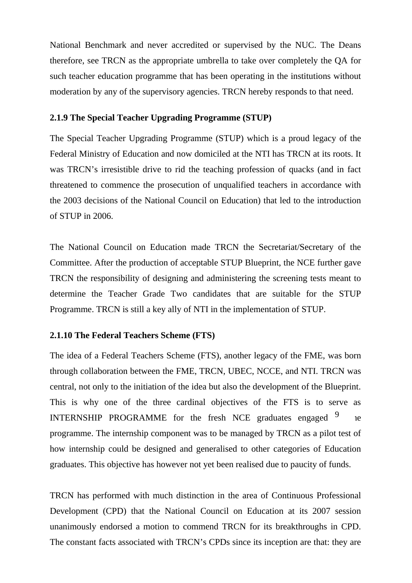National Benchmark and never accredited or supervised by the NUC. The Deans therefore, see TRCN as the appropriate umbrella to take over completely the QA for such teacher education programme that has been operating in the institutions without moderation by any of the supervisory agencies. TRCN hereby responds to that need.

#### **2.1.9 The Special Teacher Upgrading Programme (STUP)**

The Special Teacher Upgrading Programme (STUP) which is a proud legacy of the Federal Ministry of Education and now domiciled at the NTI has TRCN at its roots. It was TRCN's irresistible drive to rid the teaching profession of quacks (and in fact threatened to commence the prosecution of unqualified teachers in accordance with the 2003 decisions of the National Council on Education) that led to the introduction of STUP in 2006.

The National Council on Education made TRCN the Secretariat/Secretary of the Committee. After the production of acceptable STUP Blueprint, the NCE further gave TRCN the responsibility of designing and administering the screening tests meant to determine the Teacher Grade Two candidates that are suitable for the STUP Programme. TRCN is still a key ally of NTI in the implementation of STUP.

#### **2.1.10 The Federal Teachers Scheme (FTS)**

The idea of a Federal Teachers Scheme (FTS), another legacy of the FME, was born through collaboration between the FME, TRCN, UBEC, NCCE, and NTI. TRCN was central, not only to the initiation of the idea but also the development of the Blueprint. This is why one of the three cardinal objectives of the FTS is to serve as INTERNSHIP PROGRAMME for the fresh NCE graduates engaged  $9$  ne programme. The internship component was to be managed by TRCN as a pilot test of how internship could be designed and generalised to other categories of Education graduates. This objective has however not yet been realised due to paucity of funds.

TRCN has performed with much distinction in the area of Continuous Professional Development (CPD) that the National Council on Education at its 2007 session unanimously endorsed a motion to commend TRCN for its breakthroughs in CPD. The constant facts associated with TRCN's CPDs since its inception are that: they are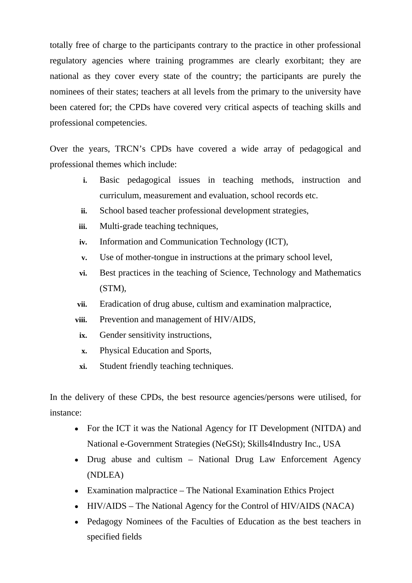totally free of charge to the participants contrary to the practice in other professional regulatory agencies where training programmes are clearly exorbitant; they are national as they cover every state of the country; the participants are purely the nominees of their states; teachers at all levels from the primary to the university have been catered for; the CPDs have covered very critical aspects of teaching skills and professional competencies.

Over the years, TRCN's CPDs have covered a wide array of pedagogical and professional themes which include:

- **i.** Basic pedagogical issues in teaching methods, instruction and curriculum, measurement and evaluation, school records etc.
- **ii.** School based teacher professional development strategies,
- **iii.** Multi-grade teaching techniques,
- **iv.** Information and Communication Technology (ICT),
- **v.** Use of mother-tongue in instructions at the primary school level,
- **vi.** Best practices in the teaching of Science, Technology and Mathematics (STM),
- **vii.** Eradication of drug abuse, cultism and examination malpractice,
- **viii.** Prevention and management of HIV/AIDS,
- **ix.** Gender sensitivity instructions,
- **x.** Physical Education and Sports,
- **xi.** Student friendly teaching techniques.

In the delivery of these CPDs, the best resource agencies/persons were utilised, for instance:

- For the ICT it was the National Agency for IT Development (NITDA) and National e-Government Strategies (NeGSt); Skills4Industry Inc., USA
- Drug abuse and cultism National Drug Law Enforcement Agency (NDLEA)
- Examination malpractice The National Examination Ethics Project
- HIV/AIDS The National Agency for the Control of HIV/AIDS (NACA)
- Pedagogy Nominees of the Faculties of Education as the best teachers in specified fields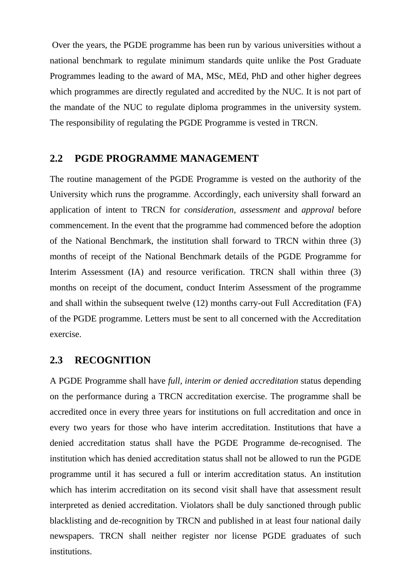Over the years, the PGDE programme has been run by various universities without a national benchmark to regulate minimum standards quite unlike the Post Graduate Programmes leading to the award of MA, MSc, MEd, PhD and other higher degrees which programmes are directly regulated and accredited by the NUC. It is not part of the mandate of the NUC to regulate diploma programmes in the university system. The responsibility of regulating the PGDE Programme is vested in TRCN.

#### **2.2 PGDE PROGRAMME MANAGEMENT**

The routine management of the PGDE Programme is vested on the authority of the University which runs the programme. Accordingly, each university shall forward an application of intent to TRCN for *consideration, assessment* and *approval* before commencement. In the event that the programme had commenced before the adoption of the National Benchmark, the institution shall forward to TRCN within three (3) months of receipt of the National Benchmark details of the PGDE Programme for Interim Assessment (IA) and resource verification. TRCN shall within three (3) months on receipt of the document, conduct Interim Assessment of the programme and shall within the subsequent twelve (12) months carry-out Full Accreditation (FA) of the PGDE programme. Letters must be sent to all concerned with the Accreditation exercise.

#### **2.3 RECOGNITION**

A PGDE Programme shall have *full, interim or denied accreditation* status depending on the performance during a TRCN accreditation exercise. The programme shall be accredited once in every three years for institutions on full accreditation and once in every two years for those who have interim accreditation. Institutions that have a denied accreditation status shall have the PGDE Programme de-recognised. The institution which has denied accreditation status shall not be allowed to run the PGDE programme until it has secured a full or interim accreditation status. An institution which has interim accreditation on its second visit shall have that assessment result interpreted as denied accreditation. Violators shall be duly sanctioned through public blacklisting and de-recognition by TRCN and published in at least four national daily newspapers. TRCN shall neither register nor license PGDE graduates of such institutions.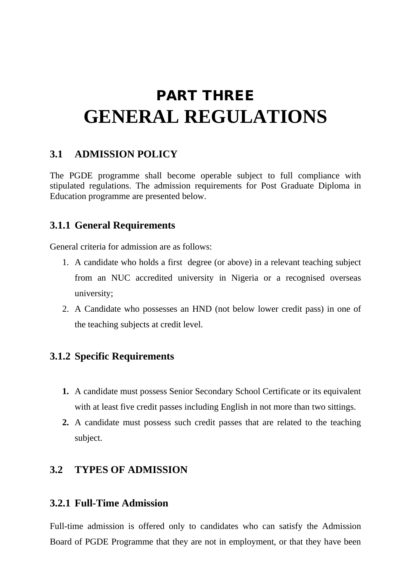# PART THREE **GENERAL REGULATIONS**

### **3.1 ADMISSION POLICY**

The PGDE programme shall become operable subject to full compliance with stipulated regulations. The admission requirements for Post Graduate Diploma in Education programme are presented below.

### **3.1.1 General Requirements**

General criteria for admission are as follows:

- 1. A candidate who holds a first degree (or above) in a relevant teaching subject from an NUC accredited university in Nigeria or a recognised overseas university;
- 2. A Candidate who possesses an HND (not below lower credit pass) in one of the teaching subjects at credit level.

# **3.1.2 Specific Requirements**

- **1.** A candidate must possess Senior Secondary School Certificate or its equivalent with at least five credit passes including English in not more than two sittings.
- **2.** A candidate must possess such credit passes that are related to the teaching subject.

# **3.2 TYPES OF ADMISSION**

### **3.2.1 Full-Time Admission**

Full-time admission is offered only to candidates who can satisfy the Admission Board of PGDE Programme that they are not in employment, or that they have been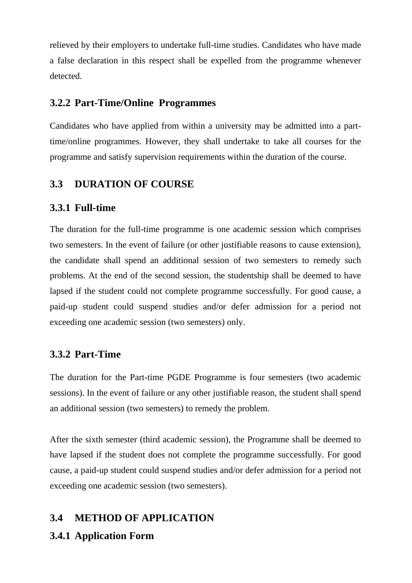relieved by their employers to undertake full-time studies. Candidates who have made a false declaration in this respect shall be expelled from the programme whenever detected.

#### **3.2.2 Part-Time/Online Programmes**

Candidates who have applied from within a university may be admitted into a parttime/online programmes. However, they shall undertake to take all courses for the programme and satisfy supervision requirements within the duration of the course.

#### **3.3 DURATION OF COURSE**

#### **3.3.1 Full-time**

The duration for the full-time programme is one academic session which comprises two semesters. In the event of failure (or other justifiable reasons to cause extension), the candidate shall spend an additional session of two semesters to remedy such problems. At the end of the second session, the studentship shall be deemed to have lapsed if the student could not complete programme successfully. For good cause, a paid-up student could suspend studies and/or defer admission for a period not exceeding one academic session (two semesters) only.

#### **3.3.2 Part-Time**

The duration for the Part-time PGDE Programme is four semesters (two academic sessions). In the event of failure or any other justifiable reason, the student shall spend an additional session (two semesters) to remedy the problem.

After the sixth semester (third academic session), the Programme shall be deemed to have lapsed if the student does not complete the programme successfully. For good cause, a paid-up student could suspend studies and/or defer admission for a period not exceeding one academic session (two semesters).

#### **3.4 METHOD OF APPLICATION**

#### **3.4.1 Application Form**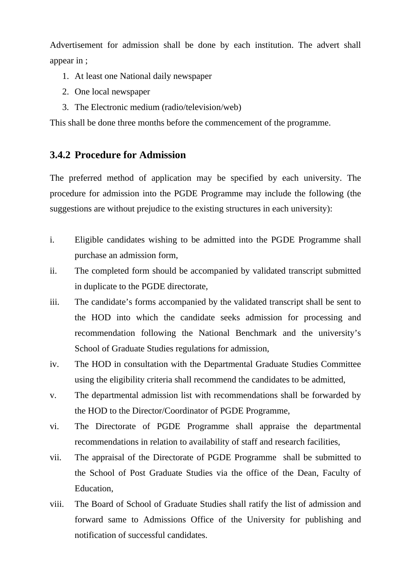Advertisement for admission shall be done by each institution. The advert shall appear in ;

- 1. At least one National daily newspaper
- 2. One local newspaper
- 3. The Electronic medium (radio/television/web)

This shall be done three months before the commencement of the programme.

### **3.4.2 Procedure for Admission**

The preferred method of application may be specified by each university. The procedure for admission into the PGDE Programme may include the following (the suggestions are without prejudice to the existing structures in each university):

- i. Eligible candidates wishing to be admitted into the PGDE Programme shall purchase an admission form,
- ii. The completed form should be accompanied by validated transcript submitted in duplicate to the PGDE directorate,
- iii. The candidate's forms accompanied by the validated transcript shall be sent to the HOD into which the candidate seeks admission for processing and recommendation following the National Benchmark and the university's School of Graduate Studies regulations for admission,
- iv. The HOD in consultation with the Departmental Graduate Studies Committee using the eligibility criteria shall recommend the candidates to be admitted,
- v. The departmental admission list with recommendations shall be forwarded by the HOD to the Director/Coordinator of PGDE Programme,
- vi. The Directorate of PGDE Programme shall appraise the departmental recommendations in relation to availability of staff and research facilities,
- vii. The appraisal of the Directorate of PGDE Programme shall be submitted to the School of Post Graduate Studies via the office of the Dean, Faculty of Education,
- viii. The Board of School of Graduate Studies shall ratify the list of admission and forward same to Admissions Office of the University for publishing and notification of successful candidates.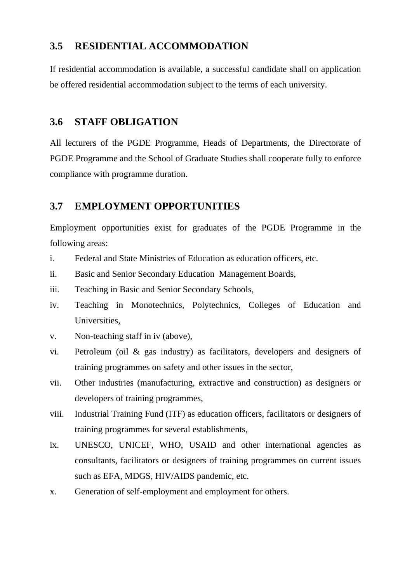# **3.5 RESIDENTIAL ACCOMMODATION**

If residential accommodation is available, a successful candidate shall on application be offered residential accommodation subject to the terms of each university.

#### **3.6 STAFF OBLIGATION**

All lecturers of the PGDE Programme, Heads of Departments, the Directorate of PGDE Programme and the School of Graduate Studies shall cooperate fully to enforce compliance with programme duration.

### **3.7 EMPLOYMENT OPPORTUNITIES**

Employment opportunities exist for graduates of the PGDE Programme in the following areas:

- i. Federal and State Ministries of Education as education officers, etc.
- ii. Basic and Senior Secondary Education Management Boards,
- iii. Teaching in Basic and Senior Secondary Schools,
- iv. Teaching in Monotechnics, Polytechnics, Colleges of Education and Universities,
- v. Non-teaching staff in iv (above),
- vi. Petroleum (oil & gas industry) as facilitators, developers and designers of training programmes on safety and other issues in the sector,
- vii. Other industries (manufacturing, extractive and construction) as designers or developers of training programmes,
- viii. Industrial Training Fund (ITF) as education officers, facilitators or designers of training programmes for several establishments,
- ix. UNESCO, UNICEF, WHO, USAID and other international agencies as consultants, facilitators or designers of training programmes on current issues such as EFA, MDGS, HIV/AIDS pandemic, etc.
- x. Generation of self-employment and employment for others.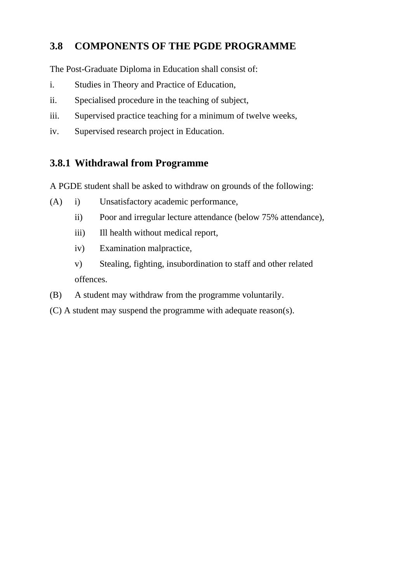# **3.8 COMPONENTS OF THE PGDE PROGRAMME**

The Post-Graduate Diploma in Education shall consist of:

- i. Studies in Theory and Practice of Education,
- ii. Specialised procedure in the teaching of subject,
- iii. Supervised practice teaching for a minimum of twelve weeks,
- iv. Supervised research project in Education.

# **3.8.1 Withdrawal from Programme**

A PGDE student shall be asked to withdraw on grounds of the following:

- (A) i) Unsatisfactory academic performance,
	- ii) Poor and irregular lecture attendance (below 75% attendance),
	- iii) Ill health without medical report,
	- iv) Examination malpractice,
	- v) Stealing, fighting, insubordination to staff and other related offences.
- (B) A student may withdraw from the programme voluntarily.
- (C) A student may suspend the programme with adequate reason(s).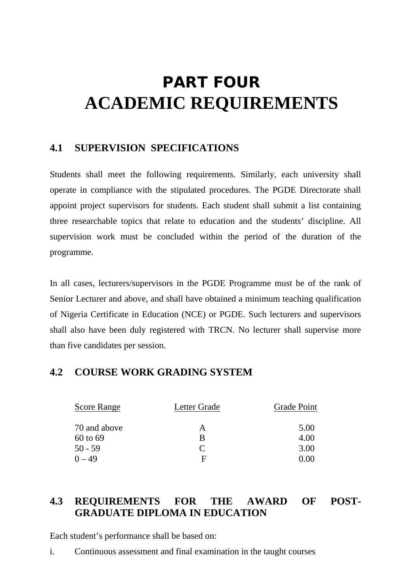# PART FOUR **ACADEMIC REQUIREMENTS**

# **4.1 SUPERVISION SPECIFICATIONS**

Students shall meet the following requirements. Similarly, each university shall operate in compliance with the stipulated procedures. The PGDE Directorate shall appoint project supervisors for students. Each student shall submit a list containing three researchable topics that relate to education and the students' discipline. All supervision work must be concluded within the period of the duration of the programme.

In all cases, lecturers/supervisors in the PGDE Programme must be of the rank of Senior Lecturer and above, and shall have obtained a minimum teaching qualification of Nigeria Certificate in Education (NCE) or PGDE. Such lecturers and supervisors shall also have been duly registered with TRCN. No lecturer shall supervise more than five candidates per session.

### **4.2 COURSE WORK GRADING SYSTEM**

| <b>Score Range</b> | Letter Grade                | <b>Grade Point</b> |
|--------------------|-----------------------------|--------------------|
| 70 and above       | А                           | 5.00               |
| 60 to 69           | B                           | 4.00               |
| $50 - 59$          | $\mathcal{C}_{\mathcal{C}}$ | 3.00               |
| $0 - 49$           | F                           | 0.00               |

# **4.3 REQUIREMENTS FOR THE AWARD OF POST-GRADUATE DIPLOMA IN EDUCATION**

Each student's performance shall be based on:

i. Continuous assessment and final examination in the taught courses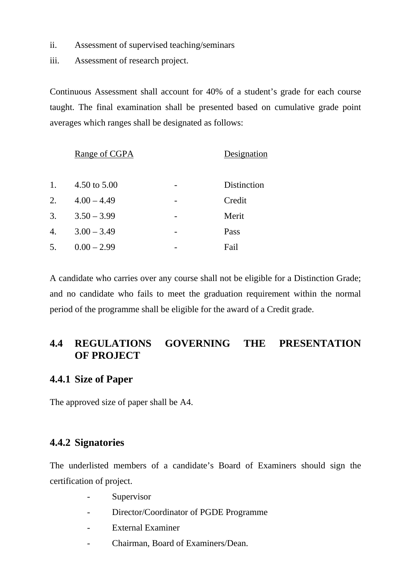- ii. Assessment of supervised teaching/seminars
- iii. Assessment of research project.

Continuous Assessment shall account for 40% of a student's grade for each course taught. The final examination shall be presented based on cumulative grade point averages which ranges shall be designated as follows:

|    | Range of CGPA | Designation |             |
|----|---------------|-------------|-------------|
| 1. | 4.50 to 5.00  | -           | Distinction |
| 2. | $4.00 - 4.49$ |             | Credit      |
| 3. | $3.50 - 3.99$ |             | Merit       |
| 4. | $3.00 - 3.49$ | -           | Pass        |
| 5. | $0.00 - 2.99$ |             | Fail        |
|    |               |             |             |

A candidate who carries over any course shall not be eligible for a Distinction Grade; and no candidate who fails to meet the graduation requirement within the normal period of the programme shall be eligible for the award of a Credit grade.

# **4.4 REGULATIONS GOVERNING THE PRESENTATION OF PROJECT**

#### **4.4.1 Size of Paper**

The approved size of paper shall be A4.

#### **4.4.2 Signatories**

The underlisted members of a candidate's Board of Examiners should sign the certification of project.

- Supervisor
- Director/Coordinator of PGDE Programme
- External Examiner
- Chairman, Board of Examiners/Dean.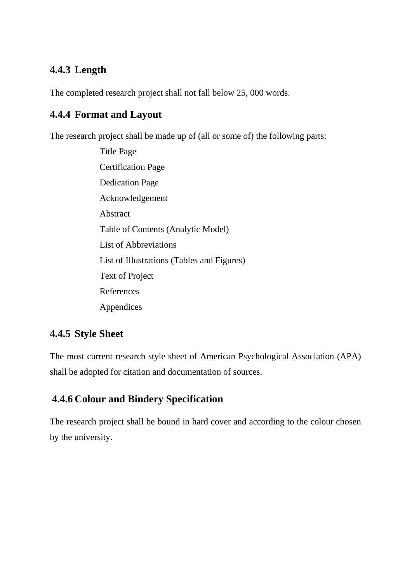# **4.4.3 Length**

The completed research project shall not fall below 25, 000 words.

# **4.4.4 Format and Layout**

The research project shall be made up of (all or some of) the following parts:

Title Page Certification Page Dedication Page Acknowledgement Abstract Table of Contents (Analytic Model) List of Abbreviations List of Illustrations (Tables and Figures) Text of Project References Appendices

# **4.4.5 Style Sheet**

The most current research style sheet of American Psychological Association (APA) shall be adopted for citation and documentation of sources.

# **4.4.6 Colour and Bindery Specification**

The research project shall be bound in hard cover and according to the colour chosen by the university.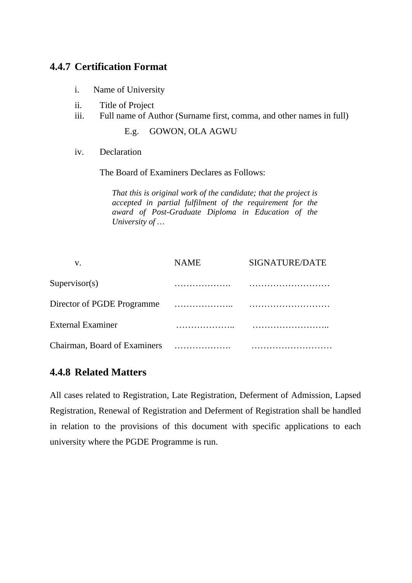## **4.4.7 Certification Format**

- i. Name of University
- ii. Title of Project
- iii. Full name of Author (Surname first, comma, and other names in full)

E.g. GOWON, OLA AGWU

iv. Declaration

The Board of Examiners Declares as Follows:

*That this is original work of the candidate; that the project is accepted in partial fulfilment of the requirement for the award of Post-Graduate Diploma in Education of the University of …*

| V.                           | <b>NAME</b> | SIGNATURE/DATE |
|------------------------------|-------------|----------------|
| Supervisor(s)                | .           |                |
| Director of PGDE Programme   |             |                |
| <b>External Examiner</b>     |             |                |
| Chairman, Board of Examiners | .           |                |

### **4.4.8 Related Matters**

All cases related to Registration, Late Registration, Deferment of Admission, Lapsed Registration, Renewal of Registration and Deferment of Registration shall be handled in relation to the provisions of this document with specific applications to each university where the PGDE Programme is run.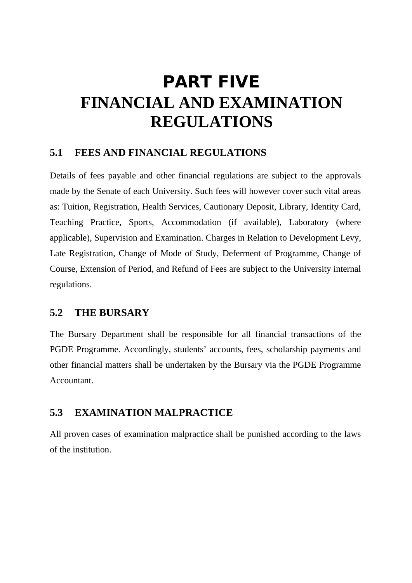# PART FIVE **FINANCIAL AND EXAMINATION REGULATIONS**

# **5.1 FEES AND FINANCIAL REGULATIONS**

Details of fees payable and other financial regulations are subject to the approvals made by the Senate of each University. Such fees will however cover such vital areas as: Tuition, Registration, Health Services, Cautionary Deposit, Library, Identity Card, Teaching Practice, Sports, Accommodation (if available), Laboratory (where applicable), Supervision and Examination. Charges in Relation to Development Levy, Late Registration, Change of Mode of Study, Deferment of Programme, Change of Course, Extension of Period, and Refund of Fees are subject to the University internal regulations.

## **5.2 THE BURSARY**

The Bursary Department shall be responsible for all financial transactions of the PGDE Programme. Accordingly, students' accounts, fees, scholarship payments and other financial matters shall be undertaken by the Bursary via the PGDE Programme Accountant.

# **5.3 EXAMINATION MALPRACTICE**

All proven cases of examination malpractice shall be punished according to the laws of the institution.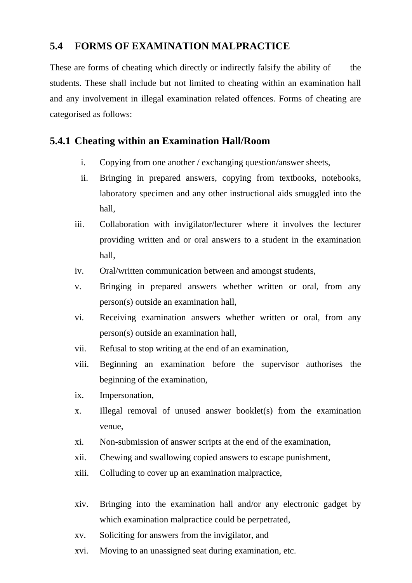# **5.4 FORMS OF EXAMINATION MALPRACTICE**

These are forms of cheating which directly or indirectly falsify the ability of the students. These shall include but not limited to cheating within an examination hall and any involvement in illegal examination related offences. Forms of cheating are categorised as follows:

### **5.4.1 Cheating within an Examination Hall/Room**

- i. Copying from one another / exchanging question/answer sheets,
- ii. Bringing in prepared answers, copying from textbooks, notebooks, laboratory specimen and any other instructional aids smuggled into the hall,
- iii. Collaboration with invigilator/lecturer where it involves the lecturer providing written and or oral answers to a student in the examination hall,
- iv. Oral/written communication between and amongst students,
- v. Bringing in prepared answers whether written or oral, from any person(s) outside an examination hall,
- vi. Receiving examination answers whether written or oral, from any person(s) outside an examination hall,
- vii. Refusal to stop writing at the end of an examination,
- viii. Beginning an examination before the supervisor authorises the beginning of the examination,
- ix. Impersonation,
- x. Illegal removal of unused answer booklet(s) from the examination venue,
- xi. Non-submission of answer scripts at the end of the examination,
- xii. Chewing and swallowing copied answers to escape punishment,
- xiii. Colluding to cover up an examination malpractice,
- xiv. Bringing into the examination hall and/or any electronic gadget by which examination malpractice could be perpetrated,
- xv. Soliciting for answers from the invigilator, and
- xvi. Moving to an unassigned seat during examination, etc.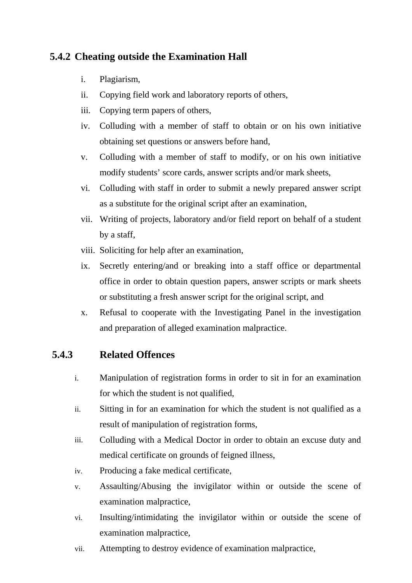# **5.4.2 Cheating outside the Examination Hall**

- i. Plagiarism,
- ii. Copying field work and laboratory reports of others,
- iii. Copying term papers of others,
- iv. Colluding with a member of staff to obtain or on his own initiative obtaining set questions or answers before hand,
- v. Colluding with a member of staff to modify, or on his own initiative modify students' score cards, answer scripts and/or mark sheets,
- vi. Colluding with staff in order to submit a newly prepared answer script as a substitute for the original script after an examination,
- vii. Writing of projects, laboratory and/or field report on behalf of a student by a staff,
- viii. Soliciting for help after an examination,
- ix. Secretly entering/and or breaking into a staff office or departmental office in order to obtain question papers, answer scripts or mark sheets or substituting a fresh answer script for the original script, and
- x. Refusal to cooperate with the Investigating Panel in the investigation and preparation of alleged examination malpractice.

### **5.4.3 Related Offences**

- i. Manipulation of registration forms in order to sit in for an examination for which the student is not qualified,
- ii. Sitting in for an examination for which the student is not qualified as a result of manipulation of registration forms,
- iii. Colluding with a Medical Doctor in order to obtain an excuse duty and medical certificate on grounds of feigned illness,
- iv. Producing a fake medical certificate,
- v. Assaulting/Abusing the invigilator within or outside the scene of examination malpractice,
- vi. Insulting/intimidating the invigilator within or outside the scene of examination malpractice,
- vii. Attempting to destroy evidence of examination malpractice,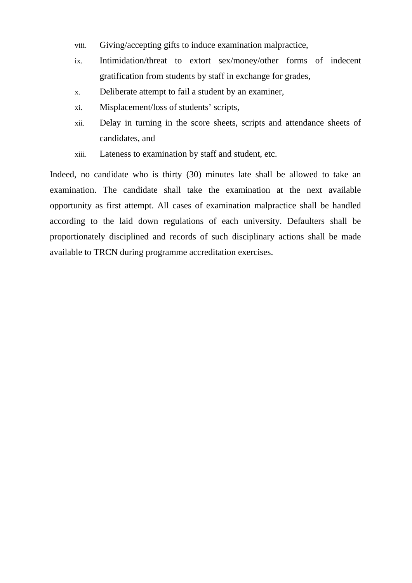- viii. Giving/accepting gifts to induce examination malpractice,
- ix. Intimidation/threat to extort sex/money/other forms of indecent gratification from students by staff in exchange for grades,
- x. Deliberate attempt to fail a student by an examiner,
- xi. Misplacement/loss of students' scripts,
- xii. Delay in turning in the score sheets, scripts and attendance sheets of candidates, and
- xiii. Lateness to examination by staff and student, etc.

Indeed, no candidate who is thirty (30) minutes late shall be allowed to take an examination. The candidate shall take the examination at the next available opportunity as first attempt. All cases of examination malpractice shall be handled according to the laid down regulations of each university. Defaulters shall be proportionately disciplined and records of such disciplinary actions shall be made available to TRCN during programme accreditation exercises.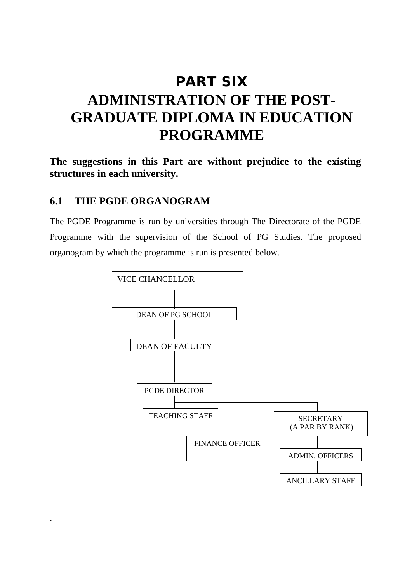# PART SIX **ADMINISTRATION OF THE POST-GRADUATE DIPLOMA IN EDUCATION PROGRAMME**

**The suggestions in this Part are without prejudice to the existing structures in each university.**

#### **6.1 THE PGDE ORGANOGRAM**

.

The PGDE Programme is run by universities through The Directorate of the PGDE Programme with the supervision of the School of PG Studies. The proposed organogram by which the programme is run is presented below.

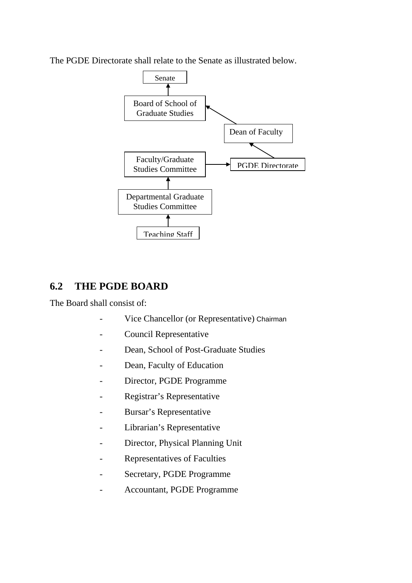The PGDE Directorate shall relate to the Senate as illustrated below.



# **6.2 THE PGDE BOARD**

The Board shall consist of:

- Vice Chancellor (or Representative) Chairman
- Council Representative
- Dean, School of Post-Graduate Studies
- Dean, Faculty of Education
- Director, PGDE Programme
- Registrar's Representative
- Bursar's Representative
- Librarian's Representative
- Director, Physical Planning Unit
- Representatives of Faculties
- Secretary, PGDE Programme
- Accountant, PGDE Programme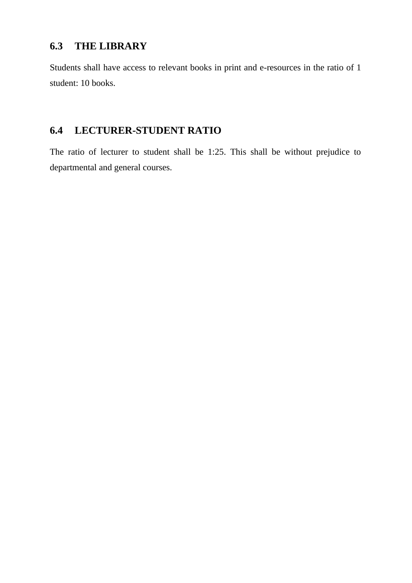# **6.3 THE LIBRARY**

Students shall have access to relevant books in print and e-resources in the ratio of 1 student: 10 books.

# **6.4 LECTURER-STUDENT RATIO**

The ratio of lecturer to student shall be 1:25. This shall be without prejudice to departmental and general courses.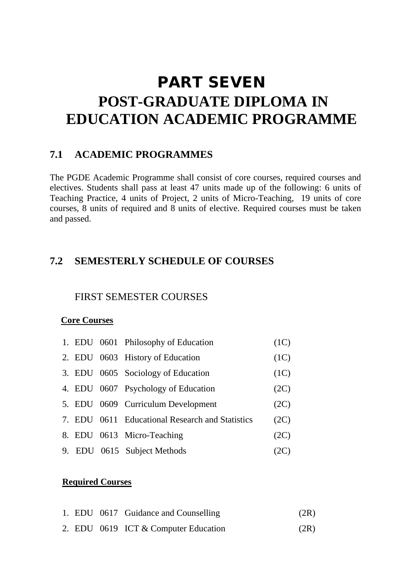# PART SEVEN **POST-GRADUATE DIPLOMA IN EDUCATION ACADEMIC PROGRAMME**

### **7.1 ACADEMIC PROGRAMMES**

The PGDE Academic Programme shall consist of core courses, required courses and electives. Students shall pass at least 47 units made up of the following: 6 units of Teaching Practice, 4 units of Project, 2 units of Micro-Teaching, 19 units of core courses, 8 units of required and 8 units of elective. Required courses must be taken and passed.

### **7.2 SEMESTERLY SCHEDULE OF COURSES**

#### FIRST SEMESTER COURSES

#### **Core Courses**

|  | 1. EDU 0601 Philosophy of Education             | (1C) |
|--|-------------------------------------------------|------|
|  | 2. EDU 0603 History of Education                | (1C) |
|  | 3. EDU 0605 Sociology of Education              | (1C) |
|  | 4. EDU 0607 Psychology of Education             | (2C) |
|  | 5. EDU 0609 Curriculum Development              | (2C) |
|  | 7. EDU 0611 Educational Research and Statistics | (2C) |
|  | 8. EDU 0613 Micro-Teaching                      | (2C) |
|  | 9. EDU 0615 Subject Methods                     | (2C) |

#### **Required Courses**

|  | 1. EDU 0617 Guidance and Counselling | (2R) |
|--|--------------------------------------|------|
|  | 2. EDU 0619 ICT & Computer Education | (2R) |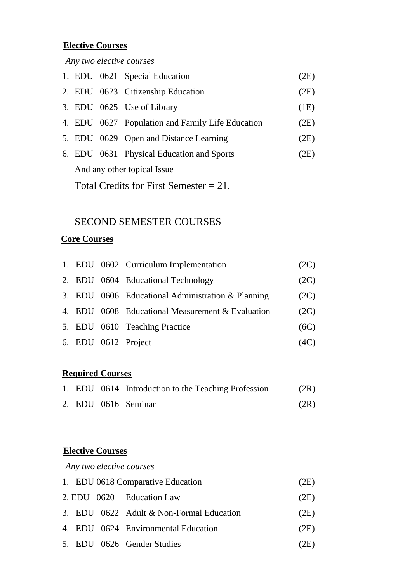# **Elective Courses**

 *Any two elective courses*

|                                           |  | 1. EDU 0621 Special Education                    | (2E) |  |
|-------------------------------------------|--|--------------------------------------------------|------|--|
|                                           |  | 2. EDU 0623 Citizenship Education                | (2E) |  |
|                                           |  | 3. EDU 0625 Use of Library                       | (1E) |  |
|                                           |  | 4. EDU 0627 Population and Family Life Education | (2E) |  |
|                                           |  | 5. EDU 0629 Open and Distance Learning           | (2E) |  |
|                                           |  | 6. EDU 0631 Physical Education and Sports        | (2E) |  |
| And any other topical Issue               |  |                                                  |      |  |
| Total Credits for First Semester $= 21$ . |  |                                                  |      |  |

# SECOND SEMESTER COURSES

# **Core Courses**

|  | 1. EDU 0602 Curriculum Implementation             | (2C) |
|--|---------------------------------------------------|------|
|  | 2. EDU 0604 Educational Technology                | (2C) |
|  | 3. EDU 0606 Educational Administration & Planning | (2C) |
|  | 4. EDU 0608 Educational Measurement & Evaluation  | (2C) |
|  | 5. EDU 0610 Teaching Practice                     | (6C) |
|  | 6. EDU 0612 Project                               | (4C) |

# **Required Courses**

|  | 1. EDU 0614 Introduction to the Teaching Profession | (2R) |
|--|-----------------------------------------------------|------|
|  | 2. EDU 0616 Seminar                                 | (2R) |

# **Elective Courses**

 *Any two elective courses*

|  | 1. EDU 0618 Comparative Education        | (2E) |
|--|------------------------------------------|------|
|  | 2. EDU 0620 Education Law                | (2E) |
|  | 3. EDU 0622 Adult & Non-Formal Education | (2E) |
|  | 4. EDU 0624 Environmental Education      | (2E) |
|  | 5. EDU 0626 Gender Studies               | (2E) |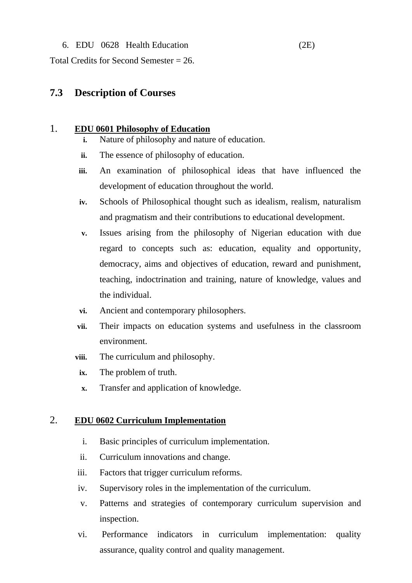#### 6. EDU 0628 Health Education (2E)

Total Credits for Second Semester = 26.

### **7.3 Description of Courses**

#### 1. **EDU 0601 Philosophy of Education**

- **i.** Nature of philosophy and nature of education.
- **ii.** The essence of philosophy of education.
- **iii.** An examination of philosophical ideas that have influenced the development of education throughout the world.
- **iv.** Schools of Philosophical thought such as idealism, realism, naturalism and pragmatism and their contributions to educational development.
- **v.** Issues arising from the philosophy of Nigerian education with due regard to concepts such as: education, equality and opportunity, democracy, aims and objectives of education, reward and punishment, teaching, indoctrination and training, nature of knowledge, values and the individual.
- **vi.** Ancient and contemporary philosophers.
- **vii.** Their impacts on education systems and usefulness in the classroom environment.
- **viii.** The curriculum and philosophy.
- **ix.** The problem of truth.
- **x.** Transfer and application of knowledge.

#### 2. **EDU 0602 Curriculum Implementation**

- i. Basic principles of curriculum implementation.
- ii. Curriculum innovations and change.
- iii. Factors that trigger curriculum reforms.
- iv. Supervisory roles in the implementation of the curriculum.
- v. Patterns and strategies of contemporary curriculum supervision and inspection.
- vi. Performance indicators in curriculum implementation: quality assurance, quality control and quality management.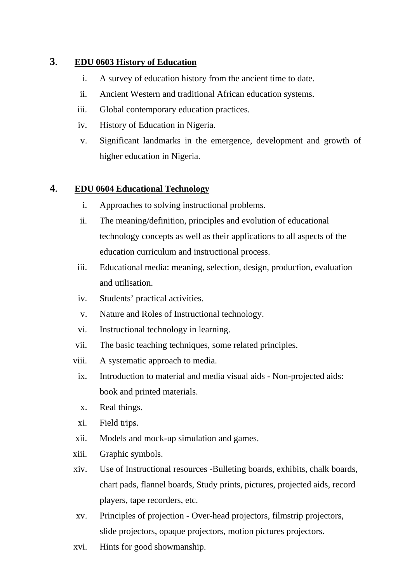### **3**. **EDU 0603 History of Education**

- i. A survey of education history from the ancient time to date.
- ii. Ancient Western and traditional African education systems.
- iii. Global contemporary education practices.
- iv. History of Education in Nigeria.
- v. Significant landmarks in the emergence, development and growth of higher education in Nigeria.

#### **4**. **EDU 0604 Educational Technology**

- i. Approaches to solving instructional problems.
- ii. The meaning/definition, principles and evolution of educational technology concepts as well as their applications to all aspects of the education curriculum and instructional process.
- iii. Educational media: meaning, selection, design, production, evaluation and utilisation.
- iv. Students' practical activities.
- v. Nature and Roles of Instructional technology.
- vi. Instructional technology in learning.
- vii. The basic teaching techniques, some related principles.
- viii. A systematic approach to media.
- ix. Introduction to material and media visual aids Non-projected aids: book and printed materials.
- x. Real things.
- xi. Field trips.
- xii. Models and mock-up simulation and games.
- xiii. Graphic symbols.
- xiv. Use of Instructional resources -Bulleting boards, exhibits, chalk boards, chart pads, flannel boards, Study prints, pictures, projected aids, record players, tape recorders, etc.
- xv. Principles of projection Over-head projectors, filmstrip projectors, slide projectors, opaque projectors, motion pictures projectors.
- xvi. Hints for good showmanship.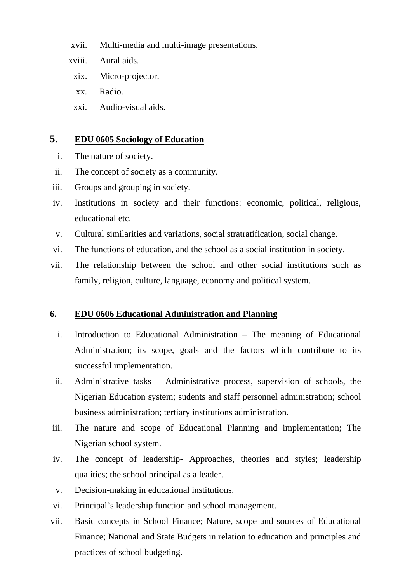- xvii. Multi-media and multi-image presentations.
- xviii. Aural aids.
	- xix. Micro-projector.
	- xx. Radio.
	- xxi. Audio-visual aids.

#### **5**. **EDU 0605 Sociology of Education**

- i. The nature of society.
- ii. The concept of society as a community.
- iii. Groups and grouping in society.
- iv. Institutions in society and their functions: economic, political, religious, educational etc.
- v. Cultural similarities and variations, social stratratification, social change.
- vi. The functions of education, and the school as a social institution in society.
- vii. The relationship between the school and other social institutions such as family, religion, culture, language, economy and political system.

### **6. EDU 0606 Educational Administration and Planning**

- i. Introduction to Educational Administration The meaning of Educational Administration; its scope, goals and the factors which contribute to its successful implementation.
- ii. Administrative tasks Administrative process, supervision of schools, the Nigerian Education system; sudents and staff personnel administration; school business administration; tertiary institutions administration.
- iii. The nature and scope of Educational Planning and implementation; The Nigerian school system.
- iv. The concept of leadership- Approaches, theories and styles; leadership qualities; the school principal as a leader.
- v. Decision-making in educational institutions.
- vi. Principal's leadership function and school management.
- vii. Basic concepts in School Finance; Nature, scope and sources of Educational Finance; National and State Budgets in relation to education and principles and practices of school budgeting.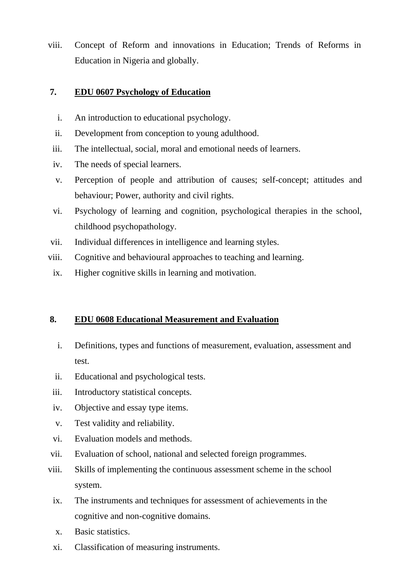viii. Concept of Reform and innovations in Education; Trends of Reforms in Education in Nigeria and globally.

#### **7. EDU 0607 Psychology of Education**

- i. An introduction to educational psychology.
- ii. Development from conception to young adulthood.
- iii. The intellectual, social, moral and emotional needs of learners.
- iv. The needs of special learners.
- v. Perception of people and attribution of causes; self-concept; attitudes and behaviour; Power, authority and civil rights.
- vi. Psychology of learning and cognition, psychological therapies in the school, childhood psychopathology.
- vii. Individual differences in intelligence and learning styles.
- viii. Cognitive and behavioural approaches to teaching and learning.
- ix. Higher cognitive skills in learning and motivation.

### **8. EDU 0608 Educational Measurement and Evaluation**

- i. Definitions, types and functions of measurement, evaluation, assessment and test.
- ii. Educational and psychological tests.
- iii. Introductory statistical concepts.
- iv. Objective and essay type items.
- v. Test validity and reliability.
- vi. Evaluation models and methods.
- vii. Evaluation of school, national and selected foreign programmes.
- viii. Skills of implementing the continuous assessment scheme in the school system.
	- ix. The instruments and techniques for assessment of achievements in the cognitive and non-cognitive domains.
	- x. Basic statistics.
	- xi. Classification of measuring instruments.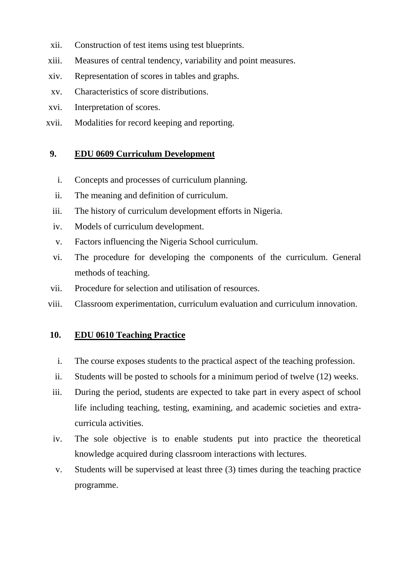- xii. Construction of test items using test blueprints.
- xiii. Measures of central tendency, variability and point measures.
- xiv. Representation of scores in tables and graphs.
- xv. Characteristics of score distributions.
- xvi. Interpretation of scores.
- xvii. Modalities for record keeping and reporting.

### **9. EDU 0609 Curriculum Development**

- i. Concepts and processes of curriculum planning.
- ii. The meaning and definition of curriculum.
- iii. The history of curriculum development efforts in Nigeria.
- iv. Models of curriculum development.
- v. Factors influencing the Nigeria School curriculum.
- vi. The procedure for developing the components of the curriculum. General methods of teaching.
- vii. Procedure for selection and utilisation of resources.
- viii. Classroom experimentation, curriculum evaluation and curriculum innovation.

#### **10. EDU 0610 Teaching Practice**

- i. The course exposes students to the practical aspect of the teaching profession.
- ii. Students will be posted to schools for a minimum period of twelve (12) weeks.
- iii. During the period, students are expected to take part in every aspect of school life including teaching, testing, examining, and academic societies and extracurricula activities.
- iv. The sole objective is to enable students put into practice the theoretical knowledge acquired during classroom interactions with lectures.
- v. Students will be supervised at least three (3) times during the teaching practice programme.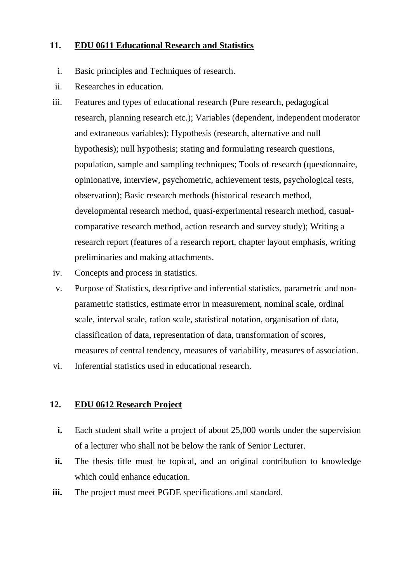#### **11. EDU 0611 Educational Research and Statistics**

- i. Basic principles and Techniques of research.
- ii. Researches in education.
- iii. Features and types of educational research (Pure research, pedagogical research, planning research etc.); Variables (dependent, independent moderator and extraneous variables); Hypothesis (research, alternative and null hypothesis); null hypothesis; stating and formulating research questions, population, sample and sampling techniques; Tools of research (questionnaire, opinionative, interview, psychometric, achievement tests, psychological tests, observation); Basic research methods (historical research method, developmental research method, quasi-experimental research method, casualcomparative research method, action research and survey study); Writing a research report (features of a research report, chapter layout emphasis, writing preliminaries and making attachments.
- iv. Concepts and process in statistics.
- v. Purpose of Statistics, descriptive and inferential statistics, parametric and nonparametric statistics, estimate error in measurement, nominal scale, ordinal scale, interval scale, ration scale, statistical notation, organisation of data, classification of data, representation of data, transformation of scores, measures of central tendency, measures of variability, measures of association.
- vi. Inferential statistics used in educational research.

#### **12. EDU 0612 Research Project**

- **i.** Each student shall write a project of about 25,000 words under the supervision of a lecturer who shall not be below the rank of Senior Lecturer.
- **ii.** The thesis title must be topical, and an original contribution to knowledge which could enhance education.
- **iii.** The project must meet PGDE specifications and standard.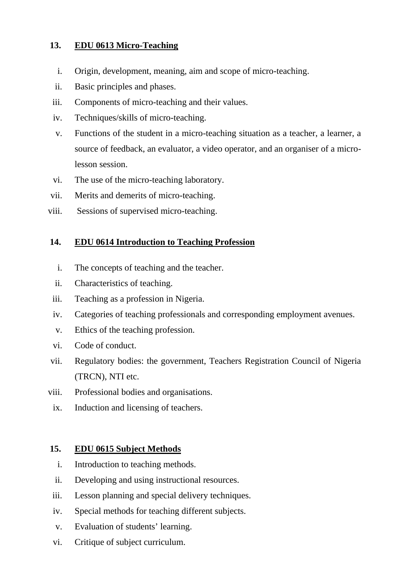### **13. EDU 0613 Micro-Teaching**

- i. Origin, development, meaning, aim and scope of micro-teaching.
- ii. Basic principles and phases.
- iii. Components of micro-teaching and their values.
- iv. Techniques/skills of micro-teaching.
- v. Functions of the student in a micro-teaching situation as a teacher, a learner, a source of feedback, an evaluator, a video operator, and an organiser of a microlesson session.
- vi. The use of the micro-teaching laboratory.
- vii. Merits and demerits of micro-teaching.
- viii. Sessions of supervised micro-teaching.

### **14. EDU 0614 Introduction to Teaching Profession**

- i. The concepts of teaching and the teacher.
- ii. Characteristics of teaching.
- iii. Teaching as a profession in Nigeria.
- iv. Categories of teaching professionals and corresponding employment avenues.
- v. Ethics of the teaching profession.
- vi. Code of conduct.
- vii. Regulatory bodies: the government, Teachers Registration Council of Nigeria (TRCN), NTI etc.
- viii. Professional bodies and organisations.
- ix. Induction and licensing of teachers.

# **15. EDU 0615 Subject Methods**

- i. Introduction to teaching methods.
- ii. Developing and using instructional resources.
- iii. Lesson planning and special delivery techniques.
- iv. Special methods for teaching different subjects.
- v. Evaluation of students' learning.
- vi. Critique of subject curriculum.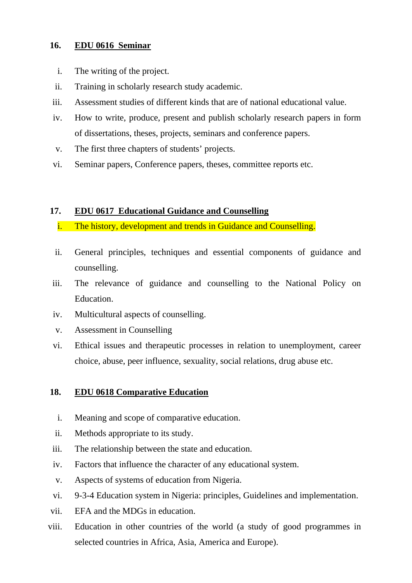#### **16. EDU 0616 Seminar**

- i. The writing of the project.
- ii. Training in scholarly research study academic.
- iii. Assessment studies of different kinds that are of national educational value.
- iv. How to write, produce, present and publish scholarly research papers in form of dissertations, theses, projects, seminars and conference papers.
- v. The first three chapters of students' projects.
- vi. Seminar papers, Conference papers, theses, committee reports etc.

#### **17. EDU 0617 Educational Guidance and Counselling**

- i. The history, development and trends in Guidance and Counselling.
- ii. General principles, techniques and essential components of guidance and counselling.
- iii. The relevance of guidance and counselling to the National Policy on Education.
- iv. Multicultural aspects of counselling.
- v. Assessment in Counselling
- vi. Ethical issues and therapeutic processes in relation to unemployment, career choice, abuse, peer influence, sexuality, social relations, drug abuse etc.

### **18. EDU 0618 Comparative Education**

- i. Meaning and scope of comparative education.
- ii. Methods appropriate to its study.
- iii. The relationship between the state and education.
- iv. Factors that influence the character of any educational system.
- v. Aspects of systems of education from Nigeria.
- vi. 9-3-4 Education system in Nigeria: principles, Guidelines and implementation.
- vii. EFA and the MDGs in education.
- viii. Education in other countries of the world (a study of good programmes in selected countries in Africa, Asia, America and Europe).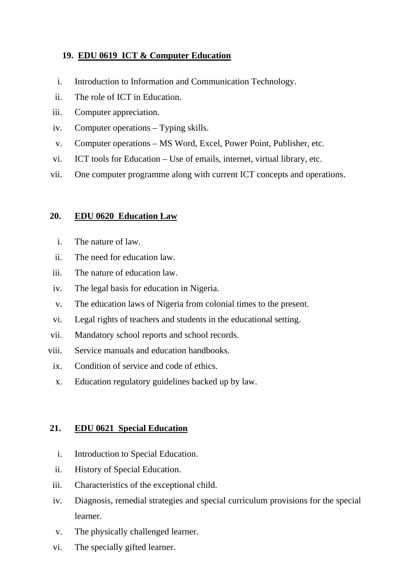### **19. EDU 0619 ICT & Computer Education**

- i. Introduction to Information and Communication Technology.
- ii. The role of ICT in Education.
- iii. Computer appreciation.
- iv. Computer operations Typing skills.
- v. Computer operations MS Word, Excel, Power Point, Publisher, etc.
- vi. ICT tools for Education Use of emails, internet, virtual library, etc.
- vii. One computer programme along with current ICT concepts and operations.

#### **20. EDU 0620 Education Law**

- i. The nature of law.
- ii. The need for education law.
- iii. The nature of education law.
- iv. The legal basis for education in Nigeria.
- v. The education laws of Nigeria from colonial times to the present.
- vi. Legal rights of teachers and students in the educational setting.
- vii. Mandatory school reports and school records.
- viii. Service manuals and education handbooks.
	- ix. Condition of service and code of ethics.
	- x. Education regulatory guidelines backed up by law.

### **21. EDU 0621 Special Education**

- i. Introduction to Special Education.
- ii. History of Special Education.
- iii. Characteristics of the exceptional child.
- iv. Diagnosis, remedial strategies and special curriculum provisions for the special learner.
- v. The physically challenged learner.
- vi. The specially gifted learner.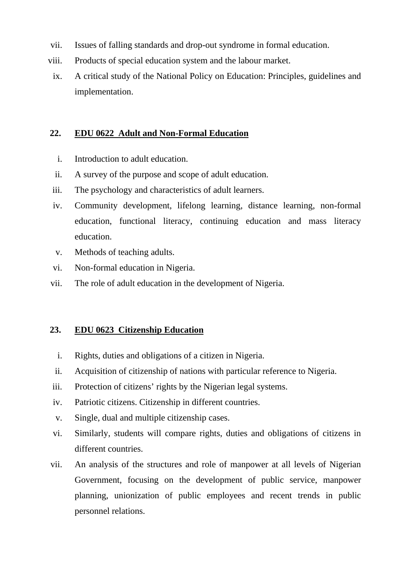- vii. Issues of falling standards and drop-out syndrome in formal education.
- viii. Products of special education system and the labour market.
- ix. A critical study of the National Policy on Education: Principles, guidelines and implementation.

#### **22. EDU 0622 Adult and Non-Formal Education**

- i. Introduction to adult education.
- ii. A survey of the purpose and scope of adult education.
- iii. The psychology and characteristics of adult learners.
- iv. Community development, lifelong learning, distance learning, non-formal education, functional literacy, continuing education and mass literacy education.
- v. Methods of teaching adults.
- vi. Non-formal education in Nigeria.
- vii. The role of adult education in the development of Nigeria.

#### **23. EDU 0623 Citizenship Education**

- i. Rights, duties and obligations of a citizen in Nigeria.
- ii. Acquisition of citizenship of nations with particular reference to Nigeria.
- iii. Protection of citizens' rights by the Nigerian legal systems.
- iv. Patriotic citizens. Citizenship in different countries.
- v. Single, dual and multiple citizenship cases.
- vi. Similarly, students will compare rights, duties and obligations of citizens in different countries.
- vii. An analysis of the structures and role of manpower at all levels of Nigerian Government, focusing on the development of public service, manpower planning, unionization of public employees and recent trends in public personnel relations.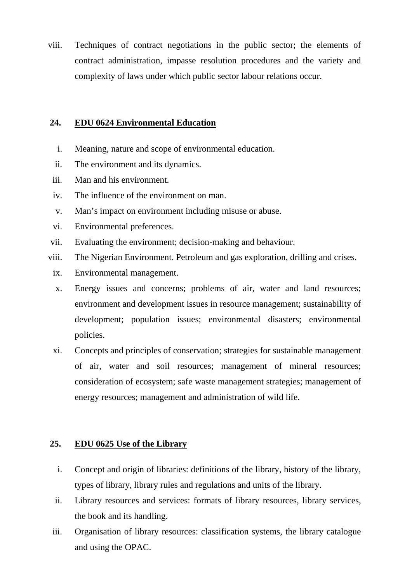viii. Techniques of contract negotiations in the public sector; the elements of contract administration, impasse resolution procedures and the variety and complexity of laws under which public sector labour relations occur.

#### **24. EDU 0624 Environmental Education**

- i. Meaning, nature and scope of environmental education.
- ii. The environment and its dynamics.
- iii. Man and his environment.
- iv. The influence of the environment on man.
- v. Man's impact on environment including misuse or abuse.
- vi. Environmental preferences.
- vii. Evaluating the environment; decision-making and behaviour.
- viii. The Nigerian Environment. Petroleum and gas exploration, drilling and crises.
	- ix. Environmental management.
	- x. Energy issues and concerns; problems of air, water and land resources; environment and development issues in resource management; sustainability of development; population issues; environmental disasters; environmental policies.
	- xi. Concepts and principles of conservation; strategies for sustainable management of air, water and soil resources; management of mineral resources; consideration of ecosystem; safe waste management strategies; management of energy resources; management and administration of wild life.

#### **25. EDU 0625 Use of the Library**

- i. Concept and origin of libraries: definitions of the library, history of the library, types of library, library rules and regulations and units of the library.
- ii. Library resources and services: formats of library resources, library services, the book and its handling.
- iii. Organisation of library resources: classification systems, the library catalogue and using the OPAC.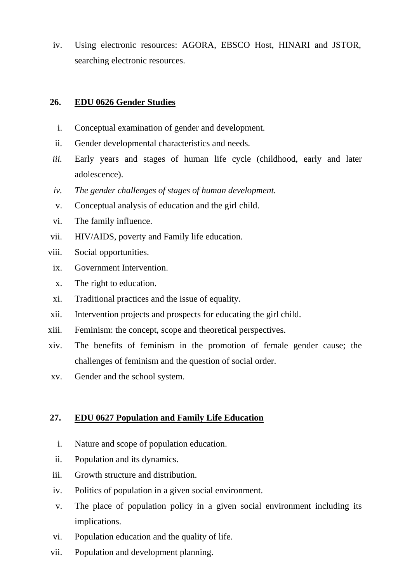iv. Using electronic resources: AGORA, EBSCO Host, HINARI and JSTOR, searching electronic resources.

#### **26. EDU 0626 Gender Studies**

- i. Conceptual examination of gender and development.
- ii. Gender developmental characteristics and needs.
- *iii.* Early years and stages of human life cycle (childhood, early and later adolescence).
- *iv. The gender challenges of stages of human development.*
- v. Conceptual analysis of education and the girl child.
- vi. The family influence.
- vii. HIV/AIDS, poverty and Family life education.
- viii. Social opportunities.
	- ix. Government Intervention.
	- x. The right to education.
	- xi. Traditional practices and the issue of equality.
- xii. Intervention projects and prospects for educating the girl child.
- xiii. Feminism: the concept, scope and theoretical perspectives.
- xiv. The benefits of feminism in the promotion of female gender cause; the challenges of feminism and the question of social order.
- xv. Gender and the school system.

### **27. EDU 0627 Population and Family Life Education**

- i. Nature and scope of population education.
- ii. Population and its dynamics.
- iii. Growth structure and distribution.
- iv. Politics of population in a given social environment.
- v. The place of population policy in a given social environment including its implications.
- vi. Population education and the quality of life.
- vii. Population and development planning.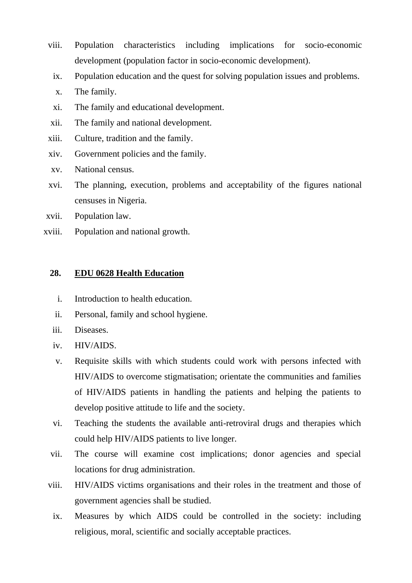- viii. Population characteristics including implications for socio-economic development (population factor in socio-economic development).
	- ix. Population education and the quest for solving population issues and problems.
	- x. The family.
	- xi. The family and educational development.
- xii. The family and national development.
- xiii. Culture, tradition and the family.
- xiv. Government policies and the family.
- xv. National census.
- xvi. The planning, execution, problems and acceptability of the figures national censuses in Nigeria.
- xvii. Population law.
- xviii. Population and national growth.

#### **28. EDU 0628 Health Education**

- i. Introduction to health education.
- ii. Personal, family and school hygiene.
- iii. Diseases.
- iv. HIV/AIDS.
- v. Requisite skills with which students could work with persons infected with HIV/AIDS to overcome stigmatisation; orientate the communities and families of HIV/AIDS patients in handling the patients and helping the patients to develop positive attitude to life and the society.
- vi. Teaching the students the available anti-retroviral drugs and therapies which could help HIV/AIDS patients to live longer.
- vii. The course will examine cost implications; donor agencies and special locations for drug administration.
- viii. HIV/AIDS victims organisations and their roles in the treatment and those of government agencies shall be studied.
	- ix. Measures by which AIDS could be controlled in the society: including religious, moral, scientific and socially acceptable practices.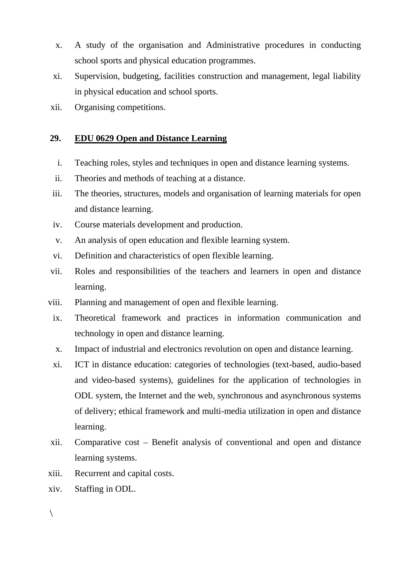- x. A study of the organisation and Administrative procedures in conducting school sports and physical education programmes.
- xi. Supervision, budgeting, facilities construction and management, legal liability in physical education and school sports.
- xii. Organising competitions.

#### **29. EDU 0629 Open and Distance Learning**

- i. Teaching roles, styles and techniques in open and distance learning systems.
- ii. Theories and methods of teaching at a distance.
- iii. The theories, structures, models and organisation of learning materials for open and distance learning.
- iv. Course materials development and production.
- v. An analysis of open education and flexible learning system.
- vi. Definition and characteristics of open flexible learning.
- vii. Roles and responsibilities of the teachers and learners in open and distance learning.
- viii. Planning and management of open and flexible learning.
	- ix. Theoretical framework and practices in information communication and technology in open and distance learning.
	- x. Impact of industrial and electronics revolution on open and distance learning.
	- xi. ICT in distance education: categories of technologies (text-based, audio-based and video-based systems), guidelines for the application of technologies in ODL system, the Internet and the web, synchronous and asynchronous systems of delivery; ethical framework and multi-media utilization in open and distance learning.
- xii. Comparative cost Benefit analysis of conventional and open and distance learning systems.
- xiii. Recurrent and capital costs.
- xiv. Staffing in ODL.

 $\setminus$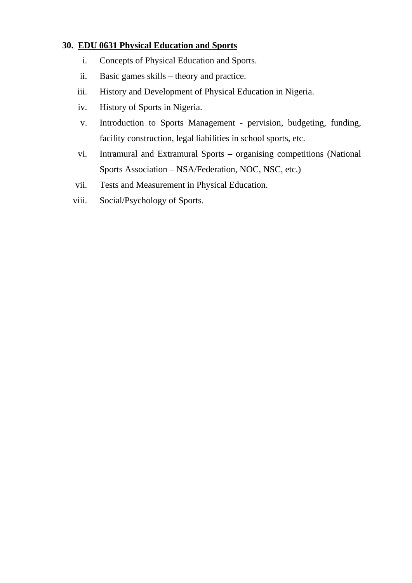### **30. EDU 0631 Physical Education and Sports**

- i. Concepts of Physical Education and Sports.
- ii. Basic games skills theory and practice.
- iii. History and Development of Physical Education in Nigeria.
- iv. History of Sports in Nigeria.
- v. Introduction to Sports Management pervision, budgeting, funding, facility construction, legal liabilities in school sports, etc.
- vi. Intramural and Extramural Sports organising competitions (National Sports Association – NSA/Federation, NOC, NSC, etc.)
- vii. Tests and Measurement in Physical Education.
- viii. Social/Psychology of Sports.